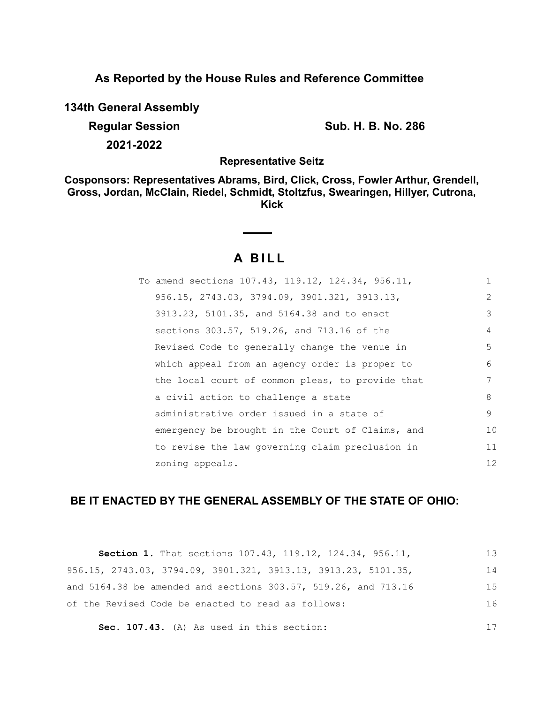## **As Reported by the House Rules and Reference Committee**

**134th General Assembly**

**Regular Session Sub. H. B. No. 286 2021-2022**

**Representative Seitz**

**Cosponsors: Representatives Abrams, Bird, Click, Cross, Fowler Arthur, Grendell, Gross, Jordan, McClain, Riedel, Schmidt, Stoltzfus, Swearingen, Hillyer, Cutrona, Kick**

# **A BILL**

| To amend sections 107.43, 119.12, 124.34, 956.11, |               |
|---------------------------------------------------|---------------|
| 956.15, 2743.03, 3794.09, 3901.321, 3913.13,      | $\mathcal{L}$ |
| 3913.23, 5101.35, and 5164.38 and to enact        | 3             |
| sections 303.57, 519.26, and 713.16 of the        | 4             |
| Revised Code to generally change the venue in     | 5             |
| which appeal from an agency order is proper to    | 6             |
| the local court of common pleas, to provide that  | 7             |
| a civil action to challenge a state               | 8             |
| administrative order issued in a state of         | 9             |
| emergency be brought in the Court of Claims, and  | 10            |
| to revise the law governing claim preclusion in   | 11            |
| zoning appeals.                                   | 12            |
|                                                   |               |

## **BE IT ENACTED BY THE GENERAL ASSEMBLY OF THE STATE OF OHIO:**

| <b>Section 1.</b> That sections 107.43, 119.12, 124.34, 956.11,          | 13 |
|--------------------------------------------------------------------------|----|
| 956.15, 2743.03, 3794.09, 3901.321, 3913.13, 3913.23, 5101.35,           | 14 |
| and $5164.38$ be amended and sections $303.57$ , $519.26$ , and $713.16$ | 15 |
| of the Revised Code be enacted to read as follows:                       | 16 |
| Sec. 107.43. (A) As used in this section:                                | 17 |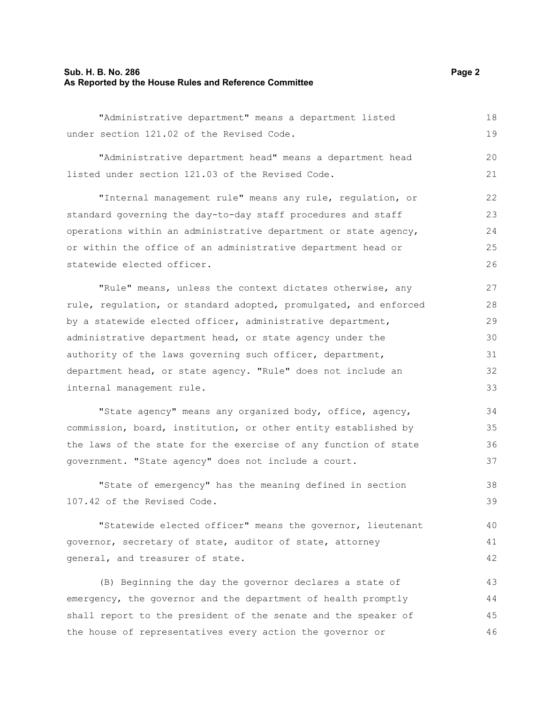#### **Sub. H. B. No. 286 Page 2 Page 2 As Reported by the House Rules and Reference Committee**

"Administrative department" means a department listed under section 121.02 of the Revised Code. 18 19

"Administrative department head" means a department head listed under section 121.03 of the Revised Code.

"Internal management rule" means any rule, regulation, or standard governing the day-to-day staff procedures and staff operations within an administrative department or state agency, or within the office of an administrative department head or statewide elected officer. 22 23 24 25 26

"Rule" means, unless the context dictates otherwise, any rule, regulation, or standard adopted, promulgated, and enforced by a statewide elected officer, administrative department, administrative department head, or state agency under the authority of the laws governing such officer, department, department head, or state agency. "Rule" does not include an internal management rule.

"State agency" means any organized body, office, agency, commission, board, institution, or other entity established by the laws of the state for the exercise of any function of state government. "State agency" does not include a court. 34 35 36 37

"State of emergency" has the meaning defined in section 107.42 of the Revised Code. 38 39

"Statewide elected officer" means the governor, lieutenant governor, secretary of state, auditor of state, attorney general, and treasurer of state. 40 41 42

(B) Beginning the day the governor declares a state of emergency, the governor and the department of health promptly shall report to the president of the senate and the speaker of the house of representatives every action the governor or 43 44 45 46

20 21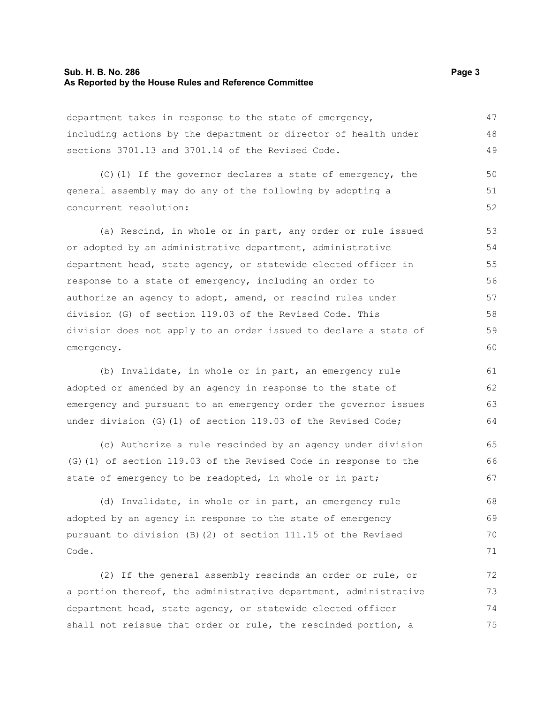#### **Sub. H. B. No. 286 Page 3 As Reported by the House Rules and Reference Committee**

department takes in response to the state of emergency, including actions by the department or director of health under sections 3701.13 and 3701.14 of the Revised Code. 47 48 49

(C)(1) If the governor declares a state of emergency, the general assembly may do any of the following by adopting a concurrent resolution: 50 51 52

(a) Rescind, in whole or in part, any order or rule issued or adopted by an administrative department, administrative department head, state agency, or statewide elected officer in response to a state of emergency, including an order to authorize an agency to adopt, amend, or rescind rules under division (G) of section 119.03 of the Revised Code. This division does not apply to an order issued to declare a state of emergency. 53 54 55 56 57 58 59 60

(b) Invalidate, in whole or in part, an emergency rule adopted or amended by an agency in response to the state of emergency and pursuant to an emergency order the governor issues under division (G)(1) of section 119.03 of the Revised Code;

(c) Authorize a rule rescinded by an agency under division (G)(1) of section 119.03 of the Revised Code in response to the state of emergency to be readopted, in whole or in part;

(d) Invalidate, in whole or in part, an emergency rule adopted by an agency in response to the state of emergency pursuant to division (B)(2) of section 111.15 of the Revised Code. 68 69 70 71

(2) If the general assembly rescinds an order or rule, or a portion thereof, the administrative department, administrative department head, state agency, or statewide elected officer shall not reissue that order or rule, the rescinded portion, a 72 73 74 75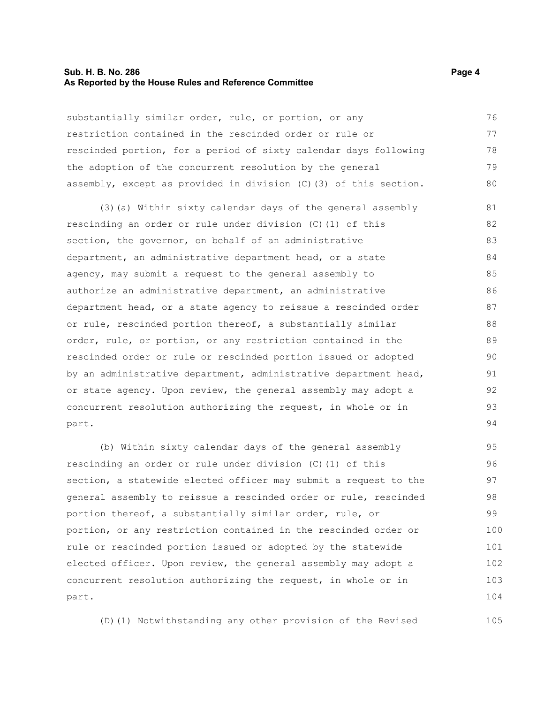#### **Sub. H. B. No. 286 Page 4 Page 4 Page 4 Page 4 Page 4 Page 4 Page 4 Page 4 As Reported by the House Rules and Reference Committee**

substantially similar order, rule, or portion, or any restriction contained in the rescinded order or rule or rescinded portion, for a period of sixty calendar days following the adoption of the concurrent resolution by the general assembly, except as provided in division (C)(3) of this section. 76 77 78 79 80

(3)(a) Within sixty calendar days of the general assembly rescinding an order or rule under division (C)(1) of this section, the governor, on behalf of an administrative department, an administrative department head, or a state agency, may submit a request to the general assembly to authorize an administrative department, an administrative department head, or a state agency to reissue a rescinded order or rule, rescinded portion thereof, a substantially similar order, rule, or portion, or any restriction contained in the rescinded order or rule or rescinded portion issued or adopted by an administrative department, administrative department head, or state agency. Upon review, the general assembly may adopt a concurrent resolution authorizing the request, in whole or in part. 81 82 83 84 85 86 87 88 89 90 91 92 93 94

(b) Within sixty calendar days of the general assembly rescinding an order or rule under division (C)(1) of this section, a statewide elected officer may submit a request to the general assembly to reissue a rescinded order or rule, rescinded portion thereof, a substantially similar order, rule, or portion, or any restriction contained in the rescinded order or rule or rescinded portion issued or adopted by the statewide elected officer. Upon review, the general assembly may adopt a concurrent resolution authorizing the request, in whole or in part. 95 96 97 98 99 100 101 102 103 104

(D)(1) Notwithstanding any other provision of the Revised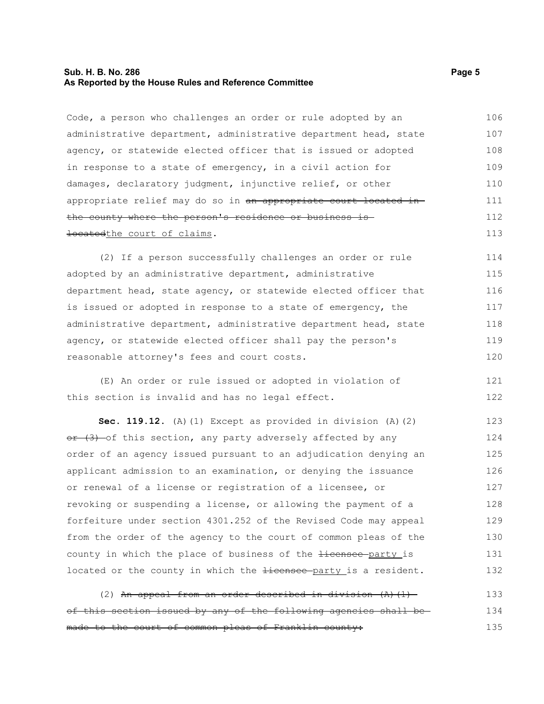#### **Sub. H. B. No. 286 Page 5** Page 5 **As Reported by the House Rules and Reference Committee**

Code, a person who challenges an order or rule adopted by an administrative department, administrative department head, state agency, or statewide elected officer that is issued or adopted in response to a state of emergency, in a civil action for damages, declaratory judgment, injunctive relief, or other appropriate relief may do so in an appropriate court located inthe county where the person's residence or business is locatedthe court of claims. 106 107 108 109 110 111 112 113

(2) If a person successfully challenges an order or rule adopted by an administrative department, administrative department head, state agency, or statewide elected officer that is issued or adopted in response to a state of emergency, the administrative department, administrative department head, state agency, or statewide elected officer shall pay the person's reasonable attorney's fees and court costs. 114 115 116 117 118 119 120

(E) An order or rule issued or adopted in violation of this section is invalid and has no legal effect. 121 122

**Sec. 119.12.** (A)(1) Except as provided in division (A)(2) or (3) of this section, any party adversely affected by any order of an agency issued pursuant to an adjudication denying an applicant admission to an examination, or denying the issuance or renewal of a license or registration of a licensee, or revoking or suspending a license, or allowing the payment of a forfeiture under section 4301.252 of the Revised Code may appeal from the order of the agency to the court of common pleas of the county in which the place of business of the <del>licensee p</del>arty is located or the county in which the *licensee party* is a resident. 123 124 125 126 127 128 129 130 131 132

(2) An appeal from an order described in division  $(A)$  (1) of this section issued by any of the following agencies shall be made to the court of common pleas of Franklin county: 133 134 135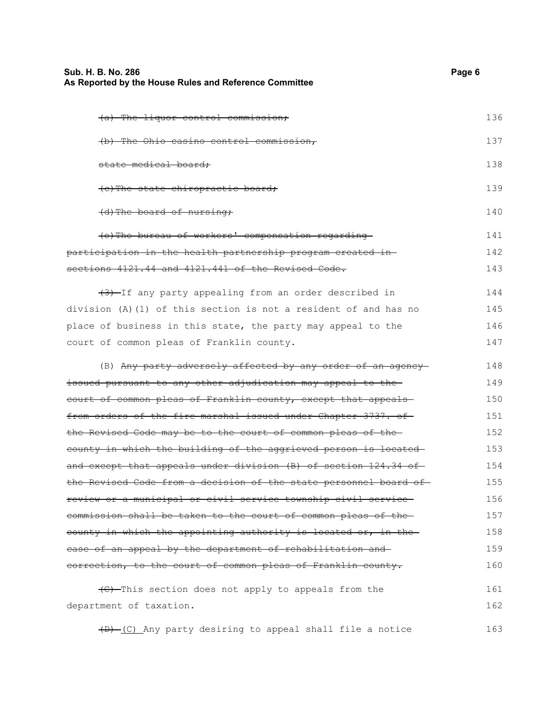| Sub. H. B. No. 286<br>As Reported by the House Rules and Reference Committee |     |
|------------------------------------------------------------------------------|-----|
| (a) The liquor control commission;                                           | 136 |
| (b) The Ohio casino control commission,                                      | 137 |
| state medical board:                                                         | 138 |
| (e) The state chiropractic board;                                            | 139 |
| (d) The board of nursing;                                                    | 140 |
| (e) The bureau of workers' compensation regarding                            | 141 |
| participation in the health partnership program created in-                  | 142 |
| sections 4121.44 and 4121.441 of the Revised Code.                           | 143 |
| $(3)$ -If any party appealing from an order described in                     | 144 |
| division (A)(1) of this section is not a resident of and has no              | 145 |
| place of business in this state, the party may appeal to the                 | 146 |
| court of common pleas of Franklin county.                                    | 147 |
| (B) Any party adversely affected by any order of an agency-                  | 148 |
| issued pursuant to any other adjudication may appeal to the                  | 149 |
| court of common pleas of Franklin county, except that appeals                | 150 |
| from orders of the fire marshal issued under Chapter 3737. of-               | 151 |
| the Revised Code may be to the court of common pleas of the-                 | 152 |
| county in which the building of the aggrieved person is located              | 153 |
| and except that appeals under division (B) of section 124.34 of              | 154 |
| the Revised Code from a decision of the state personnel board of             | 155 |
| review or a municipal or civil service township civil service-               | 156 |
| commission shall be taken to the court of common pleas of the-               | 157 |
| county in which the appointing authority is located or, in the-              | 158 |
| ease of an appeal by the department of rehabilitation and                    | 159 |
| correction, to the court of common pleas of Franklin county.                 | 160 |
| (C) This section does not apply to appeals from the                          | 161 |
| department of taxation.                                                      | 162 |
| (D) (C) Any party desiring to appeal shall file a notice                     | 163 |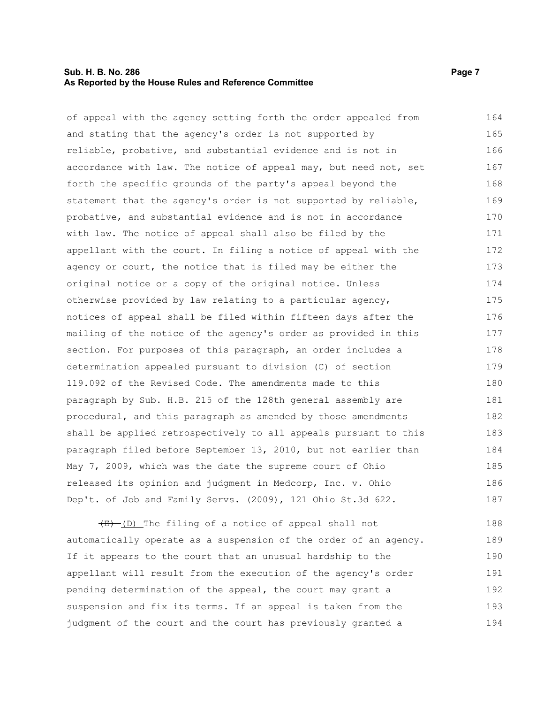#### **Sub. H. B. No. 286 Page 7 Page 7 Page 7 Page 7 Page 7 Page 7 Page 7 Page 7 As Reported by the House Rules and Reference Committee**

of appeal with the agency setting forth the order appealed from and stating that the agency's order is not supported by reliable, probative, and substantial evidence and is not in accordance with law. The notice of appeal may, but need not, set forth the specific grounds of the party's appeal beyond the statement that the agency's order is not supported by reliable, probative, and substantial evidence and is not in accordance with law. The notice of appeal shall also be filed by the appellant with the court. In filing a notice of appeal with the agency or court, the notice that is filed may be either the original notice or a copy of the original notice. Unless otherwise provided by law relating to a particular agency, notices of appeal shall be filed within fifteen days after the mailing of the notice of the agency's order as provided in this section. For purposes of this paragraph, an order includes a determination appealed pursuant to division (C) of section 119.092 of the Revised Code. The amendments made to this paragraph by Sub. H.B. 215 of the 128th general assembly are procedural, and this paragraph as amended by those amendments shall be applied retrospectively to all appeals pursuant to this paragraph filed before September 13, 2010, but not earlier than May 7, 2009, which was the date the supreme court of Ohio released its opinion and judgment in Medcorp, Inc. v. Ohio Dep't. of Job and Family Servs. (2009), 121 Ohio St.3d 622. 164 165 166 167 168 169 170 171 172 173 174 175 176 177 178 179 180 181 182 183 184 185 186 187

 $(E)$  (D) The filing of a notice of appeal shall not automatically operate as a suspension of the order of an agency. If it appears to the court that an unusual hardship to the appellant will result from the execution of the agency's order pending determination of the appeal, the court may grant a suspension and fix its terms. If an appeal is taken from the judgment of the court and the court has previously granted a 188 189 190 191 192 193 194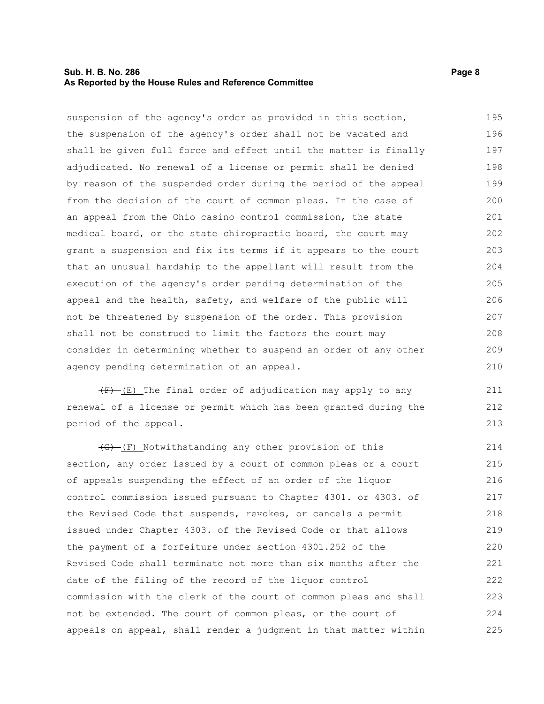#### **Sub. H. B. No. 286 Page 8 Page 8 As Reported by the House Rules and Reference Committee**

suspension of the agency's order as provided in this section, the suspension of the agency's order shall not be vacated and shall be given full force and effect until the matter is finally adjudicated. No renewal of a license or permit shall be denied by reason of the suspended order during the period of the appeal from the decision of the court of common pleas. In the case of an appeal from the Ohio casino control commission, the state medical board, or the state chiropractic board, the court may grant a suspension and fix its terms if it appears to the court that an unusual hardship to the appellant will result from the execution of the agency's order pending determination of the appeal and the health, safety, and welfare of the public will not be threatened by suspension of the order. This provision shall not be construed to limit the factors the court may consider in determining whether to suspend an order of any other agency pending determination of an appeal. 195 196 197 198 199 200 201 202 203 204 205 206 207 208 209 210

 $(F)$  (E) The final order of adjudication may apply to any renewal of a license or permit which has been granted during the period of the appeal.

(G) (F) Notwithstanding any other provision of this section, any order issued by a court of common pleas or a court of appeals suspending the effect of an order of the liquor control commission issued pursuant to Chapter 4301. or 4303. of the Revised Code that suspends, revokes, or cancels a permit issued under Chapter 4303. of the Revised Code or that allows the payment of a forfeiture under section 4301.252 of the Revised Code shall terminate not more than six months after the date of the filing of the record of the liquor control commission with the clerk of the court of common pleas and shall not be extended. The court of common pleas, or the court of appeals on appeal, shall render a judgment in that matter within 214 215 216 217 218 219 220 221 222 223 224 225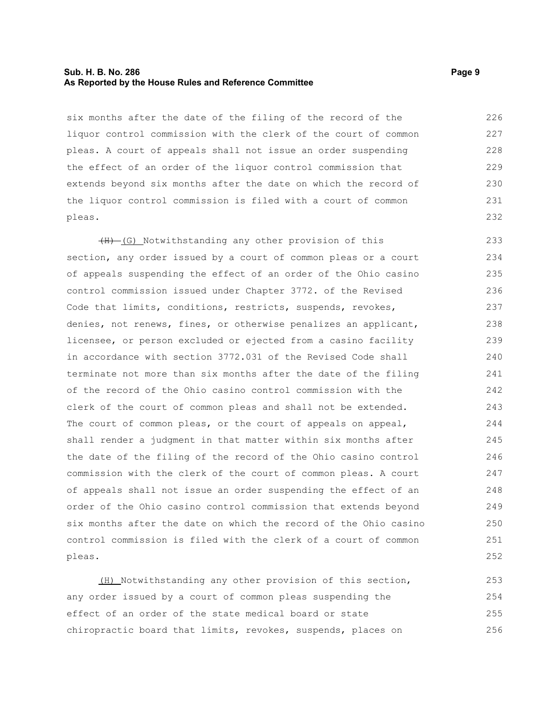#### **Sub. H. B. No. 286 Page 9 As Reported by the House Rules and Reference Committee**

six months after the date of the filing of the record of the liquor control commission with the clerk of the court of common pleas. A court of appeals shall not issue an order suspending the effect of an order of the liquor control commission that extends beyond six months after the date on which the record of the liquor control commission is filed with a court of common pleas. 226 227 228 229 230 231 232

(H) (G) Notwithstanding any other provision of this section, any order issued by a court of common pleas or a court of appeals suspending the effect of an order of the Ohio casino control commission issued under Chapter 3772. of the Revised Code that limits, conditions, restricts, suspends, revokes, denies, not renews, fines, or otherwise penalizes an applicant, licensee, or person excluded or ejected from a casino facility in accordance with section 3772.031 of the Revised Code shall terminate not more than six months after the date of the filing of the record of the Ohio casino control commission with the clerk of the court of common pleas and shall not be extended. The court of common pleas, or the court of appeals on appeal, shall render a judgment in that matter within six months after the date of the filing of the record of the Ohio casino control commission with the clerk of the court of common pleas. A court of appeals shall not issue an order suspending the effect of an order of the Ohio casino control commission that extends beyond six months after the date on which the record of the Ohio casino control commission is filed with the clerk of a court of common pleas. 233 234 235 236 237 238 239 240 241 242 243 244 245 246 247 248 249 250 251 252

(H) Notwithstanding any other provision of this section, any order issued by a court of common pleas suspending the effect of an order of the state medical board or state chiropractic board that limits, revokes, suspends, places on 253 254 255 256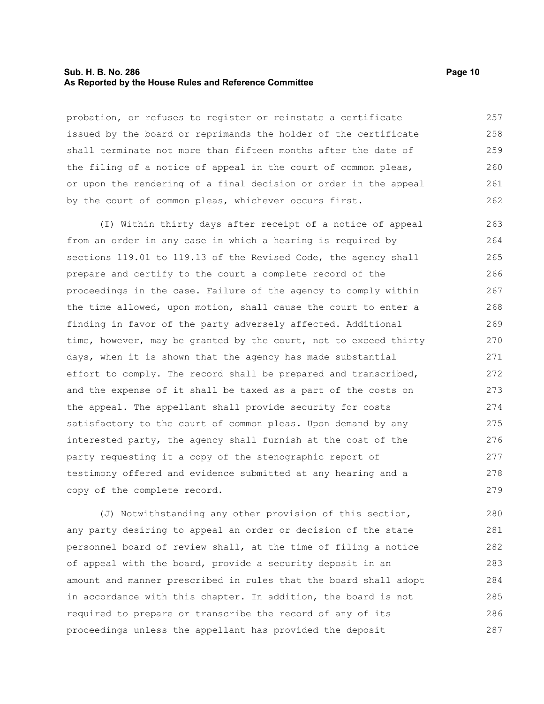#### **Sub. H. B. No. 286 Page 10 As Reported by the House Rules and Reference Committee**

probation, or refuses to register or reinstate a certificate issued by the board or reprimands the holder of the certificate shall terminate not more than fifteen months after the date of the filing of a notice of appeal in the court of common pleas, or upon the rendering of a final decision or order in the appeal by the court of common pleas, whichever occurs first. 257 258 259 260 261 262

(I) Within thirty days after receipt of a notice of appeal from an order in any case in which a hearing is required by sections 119.01 to 119.13 of the Revised Code, the agency shall prepare and certify to the court a complete record of the proceedings in the case. Failure of the agency to comply within the time allowed, upon motion, shall cause the court to enter a finding in favor of the party adversely affected. Additional time, however, may be granted by the court, not to exceed thirty days, when it is shown that the agency has made substantial effort to comply. The record shall be prepared and transcribed, and the expense of it shall be taxed as a part of the costs on the appeal. The appellant shall provide security for costs satisfactory to the court of common pleas. Upon demand by any interested party, the agency shall furnish at the cost of the party requesting it a copy of the stenographic report of testimony offered and evidence submitted at any hearing and a copy of the complete record. 263 264 265 266 267 268 269 270 271 272 273 274 275 276 277 278 279

(J) Notwithstanding any other provision of this section, any party desiring to appeal an order or decision of the state personnel board of review shall, at the time of filing a notice of appeal with the board, provide a security deposit in an amount and manner prescribed in rules that the board shall adopt in accordance with this chapter. In addition, the board is not required to prepare or transcribe the record of any of its proceedings unless the appellant has provided the deposit 280 281 282 283 284 285 286 287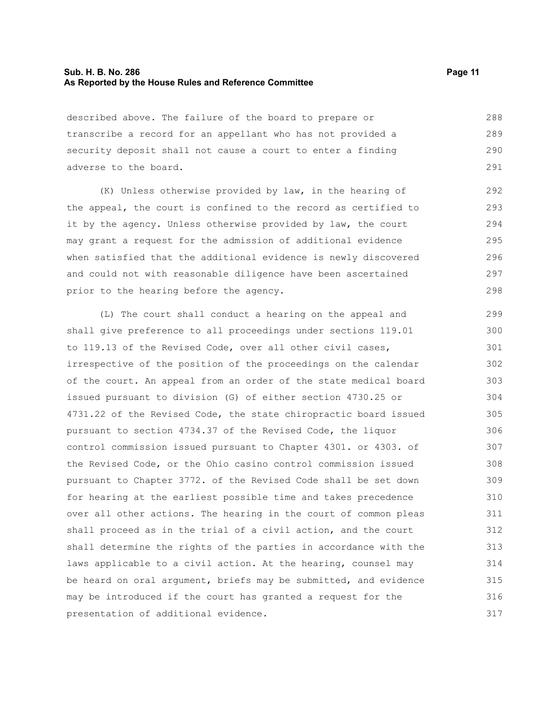#### **Sub. H. B. No. 286 Page 11 As Reported by the House Rules and Reference Committee**

described above. The failure of the board to prepare or transcribe a record for an appellant who has not provided a security deposit shall not cause a court to enter a finding adverse to the board. 288 289 290 291

(K) Unless otherwise provided by law, in the hearing of the appeal, the court is confined to the record as certified to it by the agency. Unless otherwise provided by law, the court may grant a request for the admission of additional evidence when satisfied that the additional evidence is newly discovered and could not with reasonable diligence have been ascertained prior to the hearing before the agency.

(L) The court shall conduct a hearing on the appeal and shall give preference to all proceedings under sections 119.01 to 119.13 of the Revised Code, over all other civil cases, irrespective of the position of the proceedings on the calendar of the court. An appeal from an order of the state medical board issued pursuant to division (G) of either section 4730.25 or 4731.22 of the Revised Code, the state chiropractic board issued pursuant to section 4734.37 of the Revised Code, the liquor control commission issued pursuant to Chapter 4301. or 4303. of the Revised Code, or the Ohio casino control commission issued pursuant to Chapter 3772. of the Revised Code shall be set down for hearing at the earliest possible time and takes precedence over all other actions. The hearing in the court of common pleas shall proceed as in the trial of a civil action, and the court shall determine the rights of the parties in accordance with the laws applicable to a civil action. At the hearing, counsel may be heard on oral argument, briefs may be submitted, and evidence may be introduced if the court has granted a request for the presentation of additional evidence. 299 300 301 302 303 304 305 306 307 308 309 310 311 312 313 314 315 316 317

298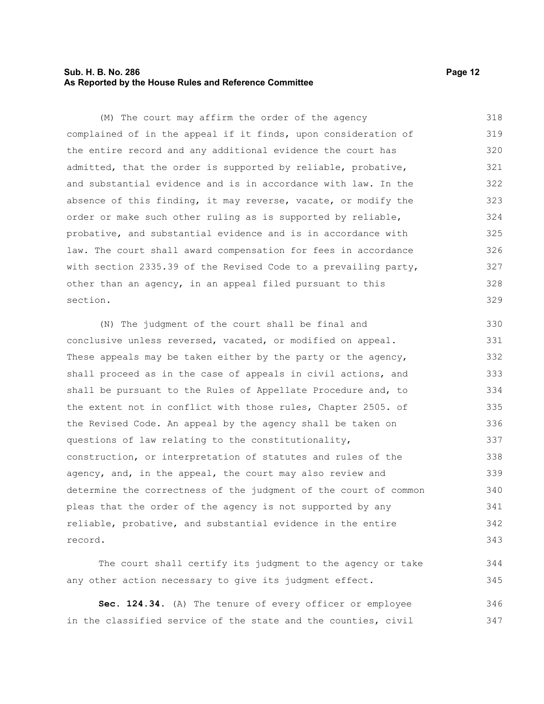#### **Sub. H. B. No. 286 Page 12 As Reported by the House Rules and Reference Committee**

(M) The court may affirm the order of the agency complained of in the appeal if it finds, upon consideration of the entire record and any additional evidence the court has admitted, that the order is supported by reliable, probative, and substantial evidence and is in accordance with law. In the absence of this finding, it may reverse, vacate, or modify the order or make such other ruling as is supported by reliable, probative, and substantial evidence and is in accordance with law. The court shall award compensation for fees in accordance with section 2335.39 of the Revised Code to a prevailing party, other than an agency, in an appeal filed pursuant to this section. 318 319 320 321 322 323 324 325 326 327 328 329

(N) The judgment of the court shall be final and conclusive unless reversed, vacated, or modified on appeal. These appeals may be taken either by the party or the agency, shall proceed as in the case of appeals in civil actions, and shall be pursuant to the Rules of Appellate Procedure and, to the extent not in conflict with those rules, Chapter 2505. of the Revised Code. An appeal by the agency shall be taken on questions of law relating to the constitutionality, construction, or interpretation of statutes and rules of the agency, and, in the appeal, the court may also review and determine the correctness of the judgment of the court of common pleas that the order of the agency is not supported by any reliable, probative, and substantial evidence in the entire record. 330 331 332 333 334 335 336 337 338 339 340 341 342 343

The court shall certify its judgment to the agency or take any other action necessary to give its judgment effect. 344 345

**Sec. 124.34.** (A) The tenure of every officer or employee in the classified service of the state and the counties, civil 346 347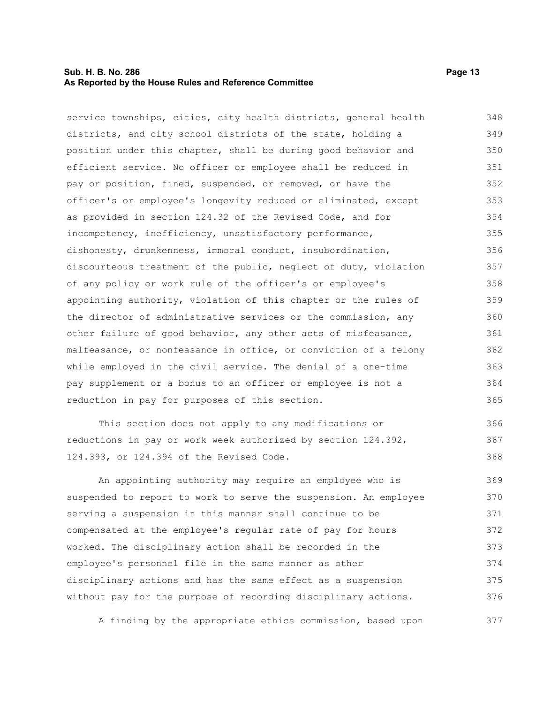#### **Sub. H. B. No. 286 Page 13 As Reported by the House Rules and Reference Committee**

reduction in pay for purposes of this section.

service townships, cities, city health districts, general health districts, and city school districts of the state, holding a position under this chapter, shall be during good behavior and efficient service. No officer or employee shall be reduced in pay or position, fined, suspended, or removed, or have the officer's or employee's longevity reduced or eliminated, except as provided in section 124.32 of the Revised Code, and for incompetency, inefficiency, unsatisfactory performance, dishonesty, drunkenness, immoral conduct, insubordination, discourteous treatment of the public, neglect of duty, violation of any policy or work rule of the officer's or employee's appointing authority, violation of this chapter or the rules of the director of administrative services or the commission, any other failure of good behavior, any other acts of misfeasance, malfeasance, or nonfeasance in office, or conviction of a felony while employed in the civil service. The denial of a one-time pay supplement or a bonus to an officer or employee is not a 348 349 350 351 352 353 354 355 356 357 358 359 360 361 362 363 364

This section does not apply to any modifications or reductions in pay or work week authorized by section 124.392, 124.393, or 124.394 of the Revised Code. 366 367 368

An appointing authority may require an employee who is suspended to report to work to serve the suspension. An employee serving a suspension in this manner shall continue to be compensated at the employee's regular rate of pay for hours worked. The disciplinary action shall be recorded in the employee's personnel file in the same manner as other disciplinary actions and has the same effect as a suspension without pay for the purpose of recording disciplinary actions. 369 370 371 372 373 374 375 376

A finding by the appropriate ethics commission, based upon 377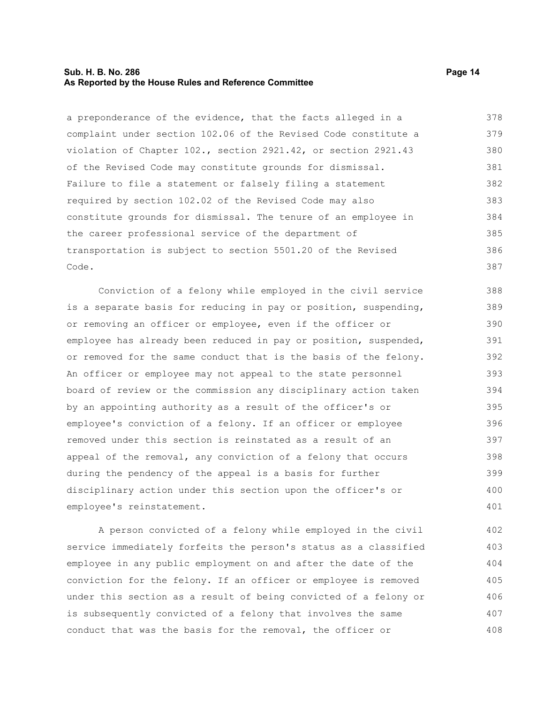#### **Sub. H. B. No. 286 Page 14 As Reported by the House Rules and Reference Committee**

a preponderance of the evidence, that the facts alleged in a complaint under section 102.06 of the Revised Code constitute a violation of Chapter 102., section 2921.42, or section 2921.43 of the Revised Code may constitute grounds for dismissal. Failure to file a statement or falsely filing a statement required by section 102.02 of the Revised Code may also constitute grounds for dismissal. The tenure of an employee in the career professional service of the department of transportation is subject to section 5501.20 of the Revised Code. 378 379 380 381 382 383 384 385 386 387

Conviction of a felony while employed in the civil service is a separate basis for reducing in pay or position, suspending, or removing an officer or employee, even if the officer or employee has already been reduced in pay or position, suspended, or removed for the same conduct that is the basis of the felony. An officer or employee may not appeal to the state personnel board of review or the commission any disciplinary action taken by an appointing authority as a result of the officer's or employee's conviction of a felony. If an officer or employee removed under this section is reinstated as a result of an appeal of the removal, any conviction of a felony that occurs during the pendency of the appeal is a basis for further disciplinary action under this section upon the officer's or employee's reinstatement. 388 389 390 391 392 393 394 395 396 397 398 399 400 401

A person convicted of a felony while employed in the civil service immediately forfeits the person's status as a classified employee in any public employment on and after the date of the conviction for the felony. If an officer or employee is removed under this section as a result of being convicted of a felony or is subsequently convicted of a felony that involves the same conduct that was the basis for the removal, the officer or 402 403 404 405 406 407 408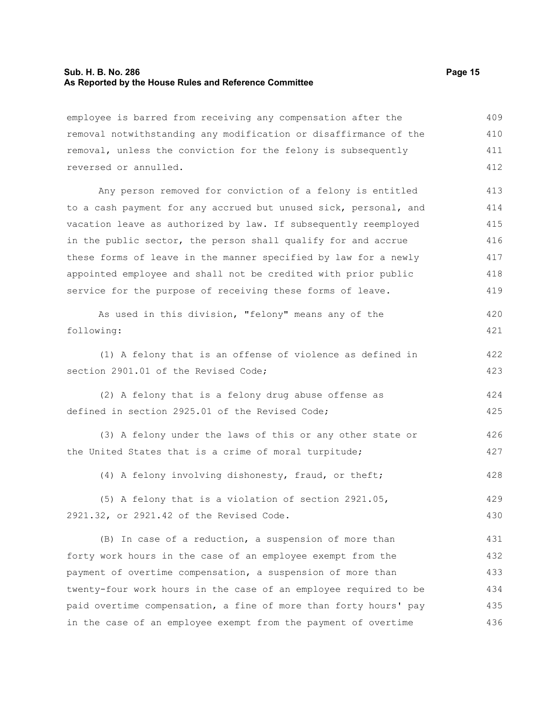## **Sub. H. B. No. 286** Page 15 **As Reported by the House Rules and Reference Committee**

| employee is barred from receiving any compensation after the     | 409 |
|------------------------------------------------------------------|-----|
| removal notwithstanding any modification or disaffirmance of the | 410 |
| removal, unless the conviction for the felony is subsequently    | 411 |
| reversed or annulled.                                            | 412 |
| Any person removed for conviction of a felony is entitled        | 413 |
| to a cash payment for any accrued but unused sick, personal, and | 414 |
| vacation leave as authorized by law. If subsequently reemployed  | 415 |
| in the public sector, the person shall qualify for and accrue    | 416 |
| these forms of leave in the manner specified by law for a newly  | 417 |
| appointed employee and shall not be credited with prior public   | 418 |
| service for the purpose of receiving these forms of leave.       | 419 |
| As used in this division, "felony" means any of the              | 420 |
| following:                                                       | 421 |
| (1) A felony that is an offense of violence as defined in        | 422 |
| section 2901.01 of the Revised Code;                             | 423 |
| (2) A felony that is a felony drug abuse offense as              | 424 |
| defined in section 2925.01 of the Revised Code;                  | 425 |
| (3) A felony under the laws of this or any other state or        | 426 |
| the United States that is a crime of moral turpitude;            | 427 |
| (4) A felony involving dishonesty, fraud, or theft;              | 428 |
| (5) A felony that is a violation of section 2921.05,             | 429 |
| 2921.32, or 2921.42 of the Revised Code.                         | 430 |
| (B) In case of a reduction, a suspension of more than            | 431 |
| forty work hours in the case of an employee exempt from the      | 432 |
| payment of overtime compensation, a suspension of more than      | 433 |
| twenty-four work hours in the case of an employee required to be | 434 |
| paid overtime compensation, a fine of more than forty hours' pay | 435 |
| in the case of an employee exempt from the payment of overtime   | 436 |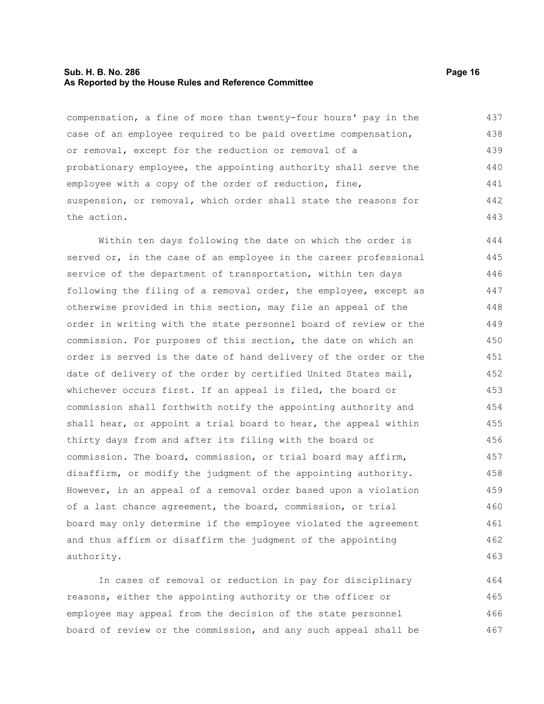#### **Sub. H. B. No. 286 Page 16 As Reported by the House Rules and Reference Committee**

compensation, a fine of more than twenty-four hours' pay in the case of an employee required to be paid overtime compensation, or removal, except for the reduction or removal of a probationary employee, the appointing authority shall serve the employee with a copy of the order of reduction, fine, suspension, or removal, which order shall state the reasons for the action. 437 438 439 440 441 442 443

Within ten days following the date on which the order is served or, in the case of an employee in the career professional service of the department of transportation, within ten days following the filing of a removal order, the employee, except as otherwise provided in this section, may file an appeal of the order in writing with the state personnel board of review or the commission. For purposes of this section, the date on which an order is served is the date of hand delivery of the order or the date of delivery of the order by certified United States mail, whichever occurs first. If an appeal is filed, the board or commission shall forthwith notify the appointing authority and shall hear, or appoint a trial board to hear, the appeal within thirty days from and after its filing with the board or commission. The board, commission, or trial board may affirm, disaffirm, or modify the judgment of the appointing authority. However, in an appeal of a removal order based upon a violation of a last chance agreement, the board, commission, or trial board may only determine if the employee violated the agreement and thus affirm or disaffirm the judgment of the appointing authority. 444 445 446 447 448 449 450 451 452 453 454 455 456 457 458 459 460 461 462 463

In cases of removal or reduction in pay for disciplinary reasons, either the appointing authority or the officer or employee may appeal from the decision of the state personnel board of review or the commission, and any such appeal shall be 464 465 466 467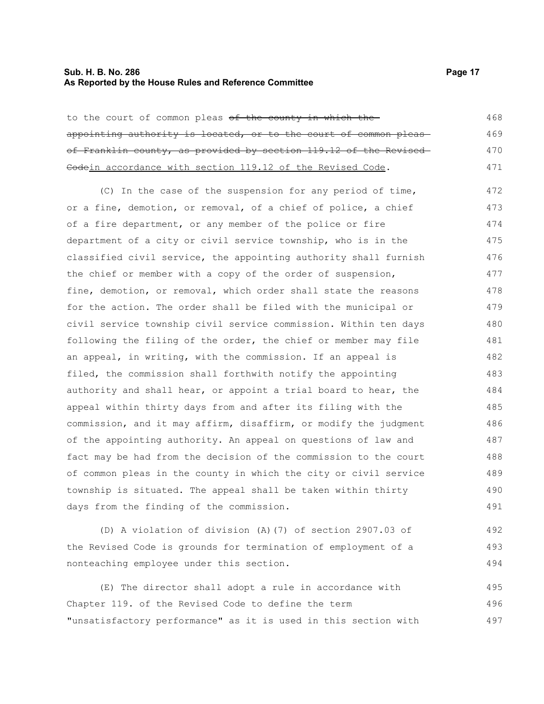### **Sub. H. B. No. 286 Page 17 As Reported by the House Rules and Reference Committee**

nonteaching employee under this section.

494

| to the court of common pleas of the county in which the-          | 468 |
|-------------------------------------------------------------------|-----|
| appointing authority is located, or to the court of common pleas- | 469 |
| of Franklin county, as provided by section 119.12 of the Revised  | 470 |
| Codein accordance with section 119.12 of the Revised Code.        | 471 |
| (C) In the case of the suspension for any period of time,         | 472 |
| or a fine, demotion, or removal, of a chief of police, a chief    | 473 |
| of a fire department, or any member of the police or fire         | 474 |
| department of a city or civil service township, who is in the     | 475 |
| classified civil service, the appointing authority shall furnish  | 476 |
| the chief or member with a copy of the order of suspension,       | 477 |
| fine, demotion, or removal, which order shall state the reasons   | 478 |
| for the action. The order shall be filed with the municipal or    | 479 |
| civil service township civil service commission. Within ten days  | 480 |
| following the filing of the order, the chief or member may file   | 481 |
| an appeal, in writing, with the commission. If an appeal is       | 482 |
| filed, the commission shall forthwith notify the appointing       | 483 |
| authority and shall hear, or appoint a trial board to hear, the   | 484 |
| appeal within thirty days from and after its filing with the      | 485 |
| commission, and it may affirm, disaffirm, or modify the judgment  | 486 |
| of the appointing authority. An appeal on questions of law and    | 487 |
| fact may be had from the decision of the commission to the court  | 488 |
| of common pleas in the county in which the city or civil service  | 489 |
| township is situated. The appeal shall be taken within thirty     | 490 |
| days from the finding of the commission.                          | 491 |
| (D) A violation of division (A) (7) of section 2907.03 of         | 492 |
| the Revised Code is grounds for termination of employment of a    | 493 |

(E) The director shall adopt a rule in accordance with Chapter 119. of the Revised Code to define the term "unsatisfactory performance" as it is used in this section with 495 496 497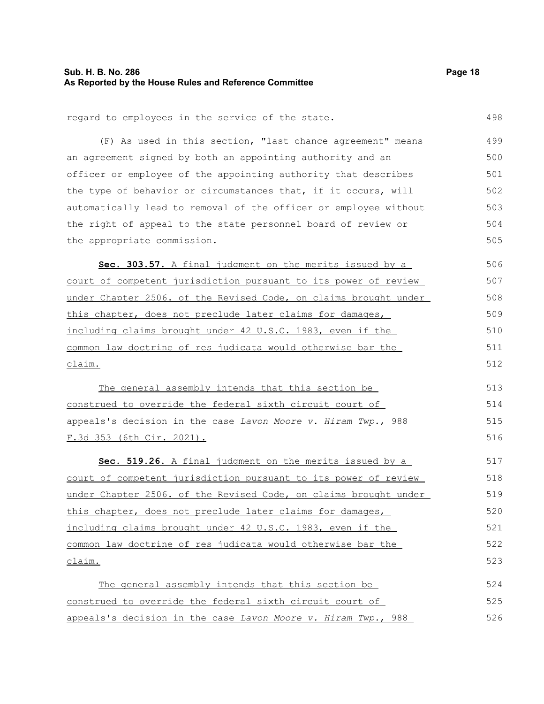## **Sub. H. B. No. 286 Page 18 As Reported by the House Rules and Reference Committee**

| regard to employees in the service of the state.                 | 498 |
|------------------------------------------------------------------|-----|
| (F) As used in this section, "last chance agreement" means       | 499 |
| an agreement signed by both an appointing authority and an       | 500 |
| officer or employee of the appointing authority that describes   | 501 |
| the type of behavior or circumstances that, if it occurs, will   | 502 |
| automatically lead to removal of the officer or employee without | 503 |
| the right of appeal to the state personnel board of review or    | 504 |
| the appropriate commission.                                      | 505 |
| Sec. 303.57. A final judgment on the merits issued by a          | 506 |
| court of competent jurisdiction pursuant to its power of review  | 507 |
| under Chapter 2506. of the Revised Code, on claims brought under | 508 |
| this chapter, does not preclude later claims for damages,        | 509 |
| including claims brought under 42 U.S.C. 1983, even if the       | 510 |
| common law doctrine of res judicata would otherwise bar the      | 511 |
| claim.                                                           | 512 |
| The general assembly intends that this section be                | 513 |
| construed to override the federal sixth circuit court of         | 514 |
| appeals's decision in the case Lavon Moore v. Hiram Twp., 988    | 515 |
| <u>F.3d 353 (6th Cir. 2021).</u>                                 | 516 |
| Sec. 519.26. A final judgment on the merits issued by a          | 517 |
| court of competent jurisdiction pursuant to its power of review  | 518 |
| under Chapter 2506. of the Revised Code, on claims brought under | 519 |
| this chapter, does not preclude later claims for damages,        | 520 |
| including claims brought under 42 U.S.C. 1983, even if the       | 521 |
| common law doctrine of res judicata would otherwise bar the      | 522 |
| claim.                                                           | 523 |
| The general assembly intends that this section be                | 524 |
| construed to override the federal sixth circuit court of         | 525 |
| appeals's decision in the case Lavon Moore v. Hiram Twp., 988    | 526 |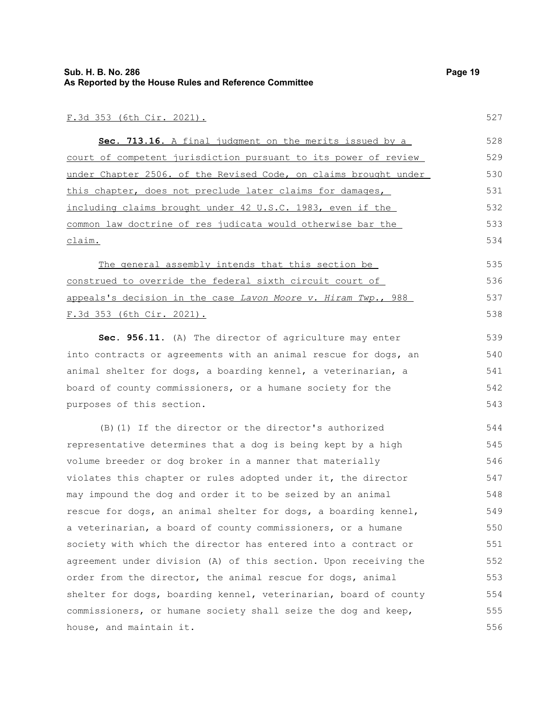| Sub. H. B. No. 286<br>As Reported by the House Rules and Reference Committee | Page 19 |
|------------------------------------------------------------------------------|---------|
| F.3d 353 (6th Cir. 2021).                                                    | 527     |
| Sec. 713.16. A final judgment on the merits issued by a                      | 528     |
| court of competent jurisdiction pursuant to its power of review              | 529     |
| under Chapter 2506. of the Revised Code, on claims brought under             | 530     |
| this chapter, does not preclude later claims for damages,                    | 531     |
| including claims brought under 42 U.S.C. 1983, even if the                   | 532     |
| common law doctrine of res judicata would otherwise bar the                  | 533     |
| claim.                                                                       | 534     |
| The general assembly intends that this section be                            | 535     |
| construed to override the federal sixth circuit court of                     | 536     |
| appeals's decision in the case Lavon Moore v. Hiram Twp., 988                | 537     |
| <u>F.3d 353 (6th Cir. 2021).</u>                                             | 538     |
| Sec. 956.11. (A) The director of agriculture may enter                       | 539     |
| into contracts or agreements with an animal rescue for dogs, an              | 540     |
| animal shelter for dogs, a boarding kennel, a veterinarian, a                | 541     |
| board of county commissioners, or a humane society for the                   | 542     |
| purposes of this section.                                                    | 543     |
| (B) (1) If the director or the director's authorized                         | 544     |
| representative determines that a dog is being kept by a high                 | 545     |
| volume breeder or dog broker in a manner that materially                     | 546     |
| violates this chapter or rules adopted under it, the director                | 547     |
| may impound the dog and order it to be seized by an animal                   | 548     |
| rescue for dogs, an animal shelter for dogs, a boarding kennel,              | 549     |
| a veterinarian, a board of county commissioners, or a humane                 | 550     |
| society with which the director has entered into a contract or               | 551     |
| agreement under division (A) of this section. Upon receiving the             | 552     |
| order from the director, the animal rescue for dogs, animal                  | 553     |
| shelter for dogs, boarding kennel, veterinarian, board of county             | 554     |
| commissioners, or humane society shall seize the dog and keep,               | 555     |
| house, and maintain it.                                                      | 556     |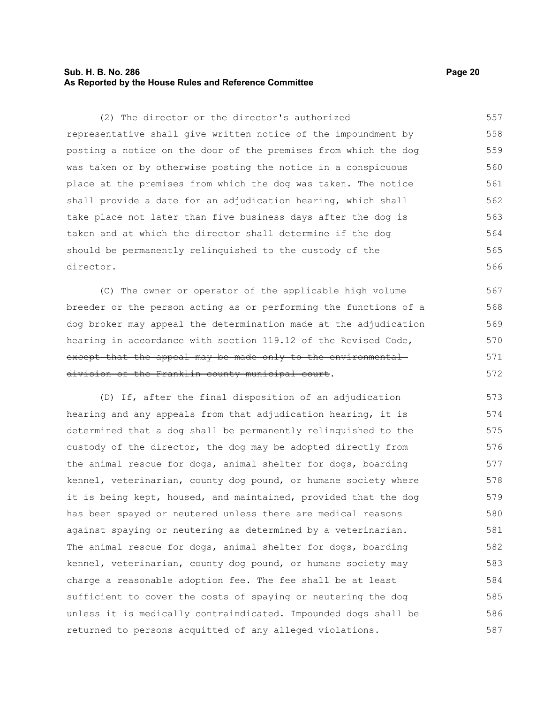#### **Sub. H. B. No. 286 Page 20 As Reported by the House Rules and Reference Committee**

(2) The director or the director's authorized representative shall give written notice of the impoundment by posting a notice on the door of the premises from which the dog was taken or by otherwise posting the notice in a conspicuous place at the premises from which the dog was taken. The notice shall provide a date for an adjudication hearing, which shall take place not later than five business days after the dog is taken and at which the director shall determine if the dog should be permanently relinquished to the custody of the director. 557 558 559 560 561 562 563 564 565 566

(C) The owner or operator of the applicable high volume breeder or the person acting as or performing the functions of a dog broker may appeal the determination made at the adjudication hearing in accordance with section 119.12 of the Revised Code $\tau$ except that the appeal may be made only to the environmental division of the Franklin county municipal court. 567 568 569 570 571 572

(D) If, after the final disposition of an adjudication hearing and any appeals from that adjudication hearing, it is determined that a dog shall be permanently relinquished to the custody of the director, the dog may be adopted directly from the animal rescue for dogs, animal shelter for dogs, boarding kennel, veterinarian, county dog pound, or humane society where it is being kept, housed, and maintained, provided that the dog has been spayed or neutered unless there are medical reasons against spaying or neutering as determined by a veterinarian. The animal rescue for dogs, animal shelter for dogs, boarding kennel, veterinarian, county dog pound, or humane society may charge a reasonable adoption fee. The fee shall be at least sufficient to cover the costs of spaying or neutering the dog unless it is medically contraindicated. Impounded dogs shall be returned to persons acquitted of any alleged violations. 573 574 575 576 577 578 579 580 581 582 583 584 585 586 587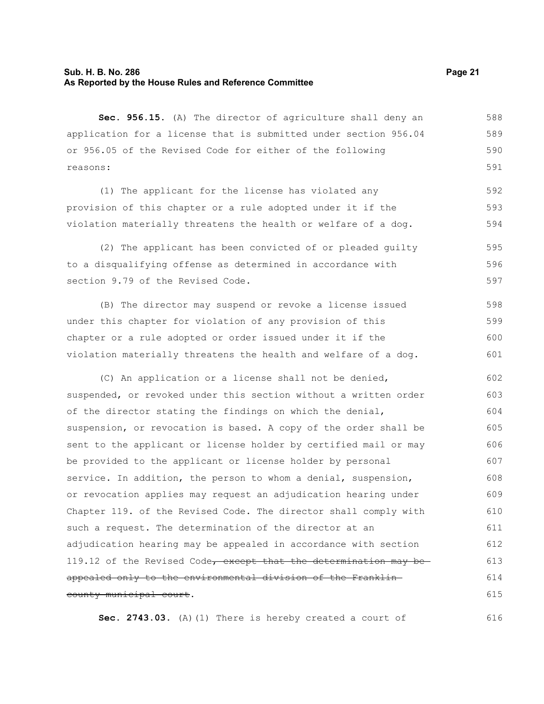#### **Sub. H. B. No. 286 Page 21 As Reported by the House Rules and Reference Committee**

**Sec. 956.15.** (A) The director of agriculture shall deny an application for a license that is submitted under section 956.04 or 956.05 of the Revised Code for either of the following reasons: 588 589 590 591

(1) The applicant for the license has violated any provision of this chapter or a rule adopted under it if the violation materially threatens the health or welfare of a dog. 592 593 594

(2) The applicant has been convicted of or pleaded guilty to a disqualifying offense as determined in accordance with section 9.79 of the Revised Code. 595 596 597

(B) The director may suspend or revoke a license issued under this chapter for violation of any provision of this chapter or a rule adopted or order issued under it if the violation materially threatens the health and welfare of a dog. 598 599 600 601

(C) An application or a license shall not be denied, suspended, or revoked under this section without a written order of the director stating the findings on which the denial, suspension, or revocation is based. A copy of the order shall be sent to the applicant or license holder by certified mail or may be provided to the applicant or license holder by personal service. In addition, the person to whom a denial, suspension, or revocation applies may request an adjudication hearing under Chapter 119. of the Revised Code. The director shall comply with such a request. The determination of the director at an adjudication hearing may be appealed in accordance with section 119.12 of the Revised Code, except that the determination may be appealed only to the environmental division of the Franklin county municipal court. 602 603 604 605 606 607 608 609 610 611 612 613 614 615

Sec. 2743.03. (A)(1) There is hereby created a court of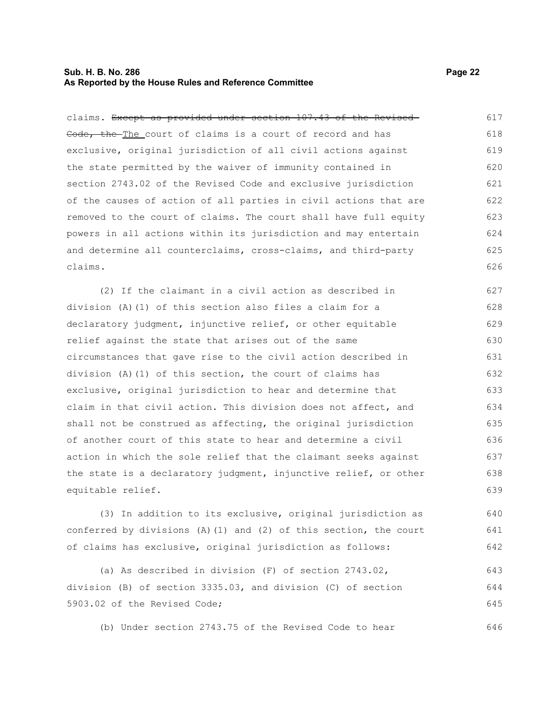#### **Sub. H. B. No. 286 Page 22 As Reported by the House Rules and Reference Committee**

claims. Except as provided under section 107.43 of the Revised-Code, the The court of claims is a court of record and has exclusive, original jurisdiction of all civil actions against the state permitted by the waiver of immunity contained in section 2743.02 of the Revised Code and exclusive jurisdiction of the causes of action of all parties in civil actions that are removed to the court of claims. The court shall have full equity powers in all actions within its jurisdiction and may entertain and determine all counterclaims, cross-claims, and third-party claims. 617 618 619 620 621 622 623 624 625 626

(2) If the claimant in a civil action as described in division (A)(1) of this section also files a claim for a declaratory judgment, injunctive relief, or other equitable relief against the state that arises out of the same circumstances that gave rise to the civil action described in division (A)(1) of this section, the court of claims has exclusive, original jurisdiction to hear and determine that claim in that civil action. This division does not affect, and shall not be construed as affecting, the original jurisdiction of another court of this state to hear and determine a civil action in which the sole relief that the claimant seeks against the state is a declaratory judgment, injunctive relief, or other equitable relief. 627 628 629 630 631 632 633 634 635 636 637 638 639

(3) In addition to its exclusive, original jurisdiction as conferred by divisions (A)(1) and (2) of this section, the court of claims has exclusive, original jurisdiction as follows: 640 641 642

(a) As described in division (F) of section 2743.02, division (B) of section 3335.03, and division (C) of section 5903.02 of the Revised Code; 643 644 645

(b) Under section 2743.75 of the Revised Code to hear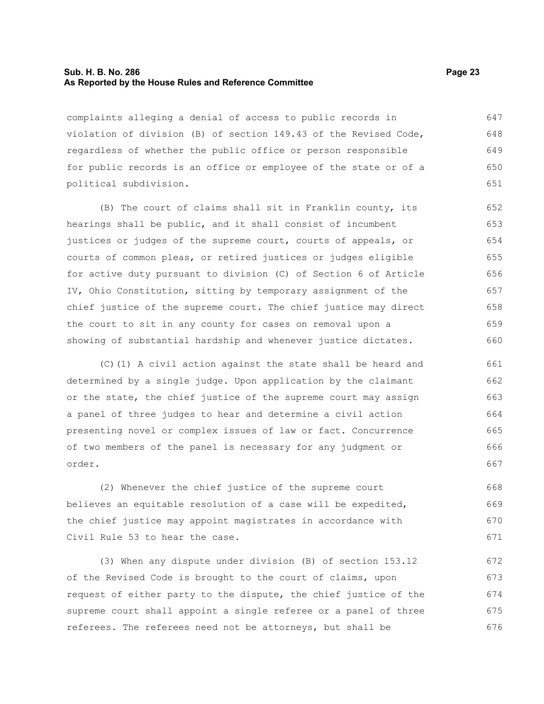#### **Sub. H. B. No. 286 Page 23 As Reported by the House Rules and Reference Committee**

complaints alleging a denial of access to public records in violation of division (B) of section 149.43 of the Revised Code, regardless of whether the public office or person responsible for public records is an office or employee of the state or of a political subdivision. 647 648 649 650 651

(B) The court of claims shall sit in Franklin county, its hearings shall be public, and it shall consist of incumbent justices or judges of the supreme court, courts of appeals, or courts of common pleas, or retired justices or judges eligible for active duty pursuant to division (C) of Section 6 of Article IV, Ohio Constitution, sitting by temporary assignment of the chief justice of the supreme court. The chief justice may direct the court to sit in any county for cases on removal upon a showing of substantial hardship and whenever justice dictates. 652 653 654 655 656 657 658 659 660

(C)(1) A civil action against the state shall be heard and determined by a single judge. Upon application by the claimant or the state, the chief justice of the supreme court may assign a panel of three judges to hear and determine a civil action presenting novel or complex issues of law or fact. Concurrence of two members of the panel is necessary for any judgment or order.

(2) Whenever the chief justice of the supreme court believes an equitable resolution of a case will be expedited, the chief justice may appoint magistrates in accordance with Civil Rule 53 to hear the case. 668 669 670 671

(3) When any dispute under division (B) of section 153.12 of the Revised Code is brought to the court of claims, upon request of either party to the dispute, the chief justice of the supreme court shall appoint a single referee or a panel of three referees. The referees need not be attorneys, but shall be 672 673 674 675 676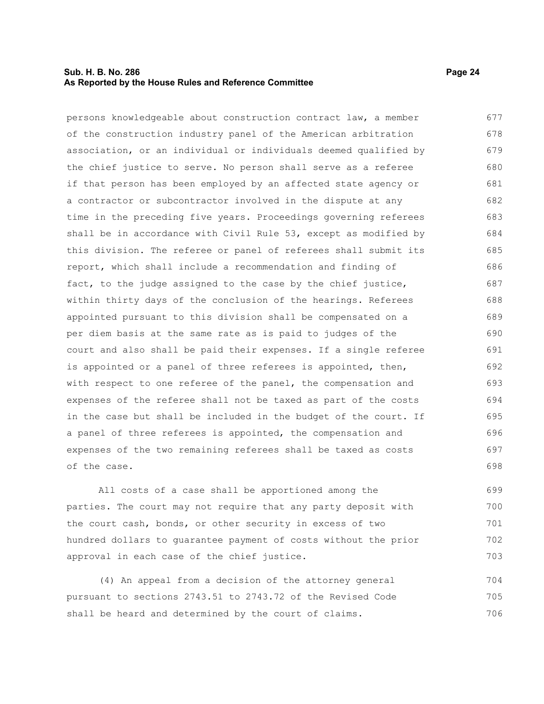#### **Sub. H. B. No. 286 Page 24 As Reported by the House Rules and Reference Committee**

persons knowledgeable about construction contract law, a member of the construction industry panel of the American arbitration association, or an individual or individuals deemed qualified by the chief justice to serve. No person shall serve as a referee if that person has been employed by an affected state agency or a contractor or subcontractor involved in the dispute at any time in the preceding five years. Proceedings governing referees shall be in accordance with Civil Rule 53, except as modified by this division. The referee or panel of referees shall submit its report, which shall include a recommendation and finding of fact, to the judge assigned to the case by the chief justice, within thirty days of the conclusion of the hearings. Referees appointed pursuant to this division shall be compensated on a per diem basis at the same rate as is paid to judges of the court and also shall be paid their expenses. If a single referee is appointed or a panel of three referees is appointed, then, with respect to one referee of the panel, the compensation and expenses of the referee shall not be taxed as part of the costs in the case but shall be included in the budget of the court. If a panel of three referees is appointed, the compensation and expenses of the two remaining referees shall be taxed as costs of the case. 677 678 679 680 681 682 683 684 685 686 687 688 689 690 691 692 693 694 695 696 697 698

All costs of a case shall be apportioned among the parties. The court may not require that any party deposit with the court cash, bonds, or other security in excess of two hundred dollars to guarantee payment of costs without the prior approval in each case of the chief justice. 699 700 701 702 703

(4) An appeal from a decision of the attorney general pursuant to sections 2743.51 to 2743.72 of the Revised Code shall be heard and determined by the court of claims. 704 705 706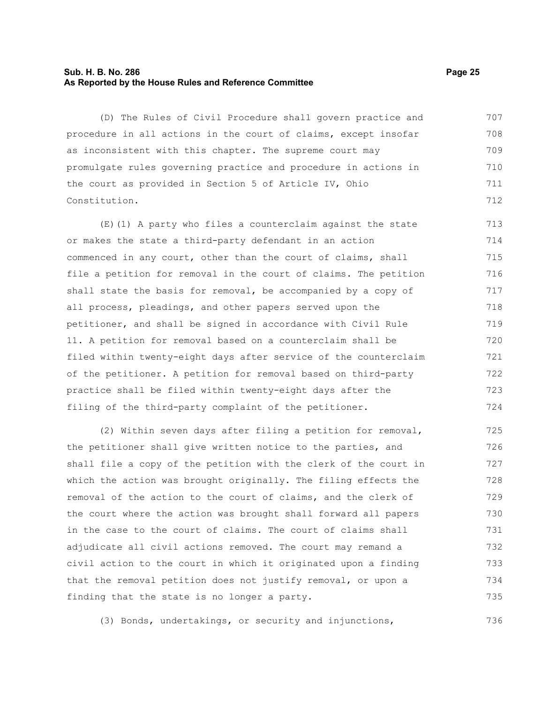#### **Sub. H. B. No. 286 Page 25 As Reported by the House Rules and Reference Committee**

(D) The Rules of Civil Procedure shall govern practice and procedure in all actions in the court of claims, except insofar as inconsistent with this chapter. The supreme court may promulgate rules governing practice and procedure in actions in the court as provided in Section 5 of Article IV, Ohio Constitution. 707 708 709 710 711 712

(E)(1) A party who files a counterclaim against the state or makes the state a third-party defendant in an action commenced in any court, other than the court of claims, shall file a petition for removal in the court of claims. The petition shall state the basis for removal, be accompanied by a copy of all process, pleadings, and other papers served upon the petitioner, and shall be signed in accordance with Civil Rule 11. A petition for removal based on a counterclaim shall be filed within twenty-eight days after service of the counterclaim of the petitioner. A petition for removal based on third-party practice shall be filed within twenty-eight days after the filing of the third-party complaint of the petitioner. 713 714 715 716 717 718 719 720 721 722 723 724

(2) Within seven days after filing a petition for removal, the petitioner shall give written notice to the parties, and shall file a copy of the petition with the clerk of the court in which the action was brought originally. The filing effects the removal of the action to the court of claims, and the clerk of the court where the action was brought shall forward all papers in the case to the court of claims. The court of claims shall adjudicate all civil actions removed. The court may remand a civil action to the court in which it originated upon a finding that the removal petition does not justify removal, or upon a finding that the state is no longer a party. 725 726 727 728 729 730 731 732 733 734 735

(3) Bonds, undertakings, or security and injunctions,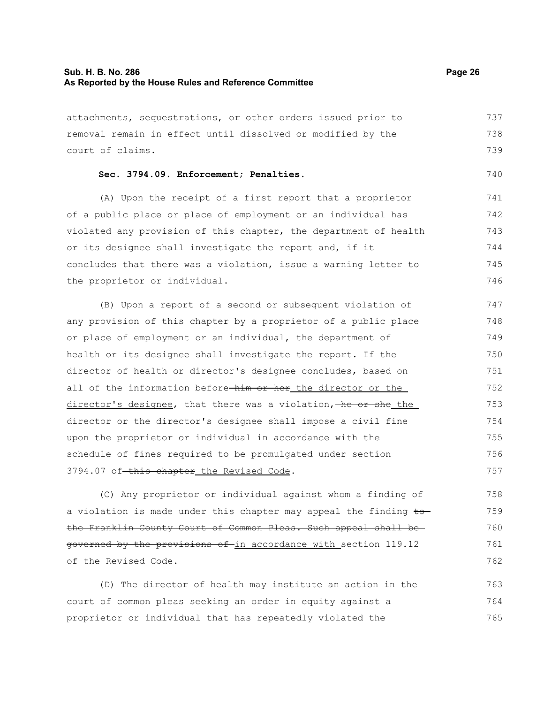740

attachments, sequestrations, or other orders issued prior to removal remain in effect until dissolved or modified by the court of claims. 737 738 739

#### **Sec. 3794.09. Enforcement; Penalties.**

(A) Upon the receipt of a first report that a proprietor of a public place or place of employment or an individual has violated any provision of this chapter, the department of health or its designee shall investigate the report and, if it concludes that there was a violation, issue a warning letter to the proprietor or individual. 741 742 743 744 745 746

(B) Upon a report of a second or subsequent violation of any provision of this chapter by a proprietor of a public place or place of employment or an individual, the department of health or its designee shall investigate the report. If the director of health or director's designee concludes, based on all of the information before-him or her the director or the director's designee, that there was a violation, he or she the director or the director's designee shall impose a civil fine upon the proprietor or individual in accordance with the schedule of fines required to be promulgated under section 3794.07 of-this chapter the Revised Code. 747 748 749 750 751 752 753 754 755 756 757

(C) Any proprietor or individual against whom a finding of a violation is made under this chapter may appeal the finding to the Franklin County Court of Common Pleas. Such appeal shall be governed by the provisions of in accordance with section 119.12 of the Revised Code. 758 759 760 761 762

(D) The director of health may institute an action in the court of common pleas seeking an order in equity against a proprietor or individual that has repeatedly violated the 763 764 765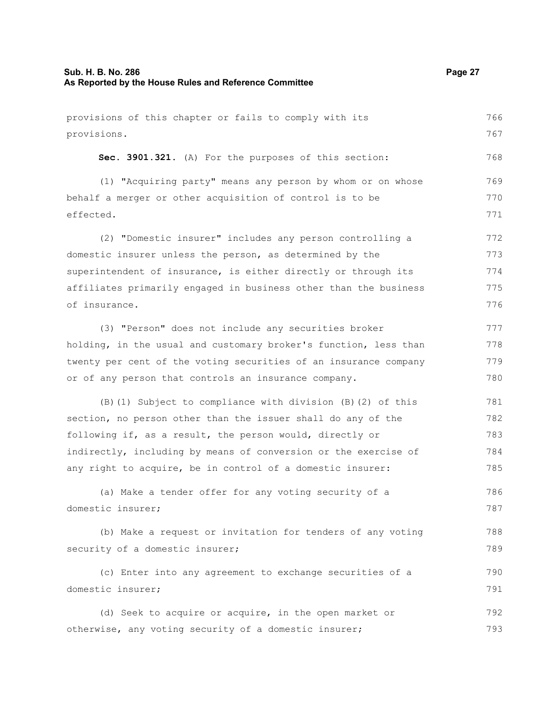#### **Sub. H. B. No. 286 Page 27 As Reported by the House Rules and Reference Committee**

provisions.

provisions of this chapter or fails to comply with its

**Sec. 3901.321.** (A) For the purposes of this section: (1) "Acquiring party" means any person by whom or on whose behalf a merger or other acquisition of control is to be effected. (2) "Domestic insurer" includes any person controlling a domestic insurer unless the person, as determined by the superintendent of insurance, is either directly or through its affiliates primarily engaged in business other than the business of insurance. (3) "Person" does not include any securities broker holding, in the usual and customary broker's function, less than twenty per cent of the voting securities of an insurance company or of any person that controls an insurance company. (B)(1) Subject to compliance with division (B)(2) of this section, no person other than the issuer shall do any of the following if, as a result, the person would, directly or indirectly, including by means of conversion or the exercise of any right to acquire, be in control of a domestic insurer: (a) Make a tender offer for any voting security of a domestic insurer; (b) Make a request or invitation for tenders of any voting security of a domestic insurer; (c) Enter into any agreement to exchange securities of a domestic insurer; (d) Seek to acquire or acquire, in the open market or otherwise, any voting security of a domestic insurer; 768 769 770 771 772 773 774 775 776 777 778 779 780 781 782 783 784 785 786 787 788 789 790 791 792 793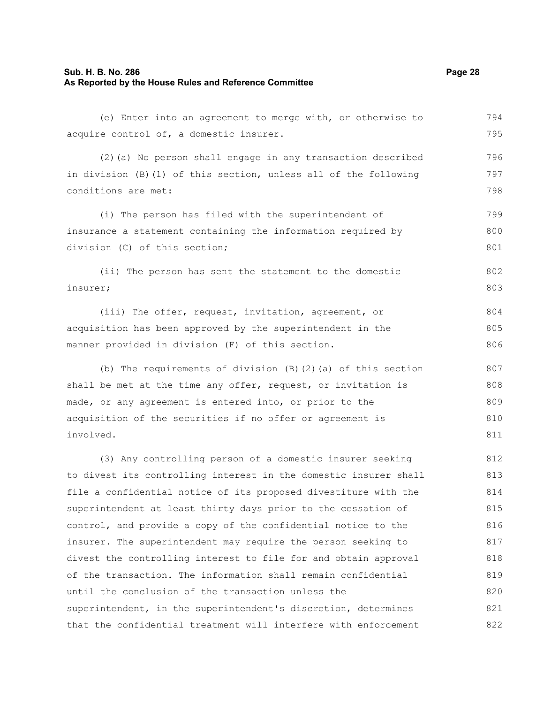#### **Sub. H. B. No. 286 Page 28 As Reported by the House Rules and Reference Committee**

(e) Enter into an agreement to merge with, or otherwise to acquire control of, a domestic insurer. 794 795

(2)(a) No person shall engage in any transaction described in division (B)(1) of this section, unless all of the following conditions are met: 796 797 798

(i) The person has filed with the superintendent of insurance a statement containing the information required by division (C) of this section; 800 801

(ii) The person has sent the statement to the domestic insurer; 802 803

(iii) The offer, request, invitation, agreement, or acquisition has been approved by the superintendent in the manner provided in division (F) of this section. 804 805 806

(b) The requirements of division (B)(2)(a) of this section shall be met at the time any offer, request, or invitation is made, or any agreement is entered into, or prior to the acquisition of the securities if no offer or agreement is involved. 807 808 809 810 811

(3) Any controlling person of a domestic insurer seeking to divest its controlling interest in the domestic insurer shall file a confidential notice of its proposed divestiture with the superintendent at least thirty days prior to the cessation of control, and provide a copy of the confidential notice to the insurer. The superintendent may require the person seeking to divest the controlling interest to file for and obtain approval of the transaction. The information shall remain confidential until the conclusion of the transaction unless the superintendent, in the superintendent's discretion, determines that the confidential treatment will interfere with enforcement 812 813 814 815 816 817 818 819 820 821 822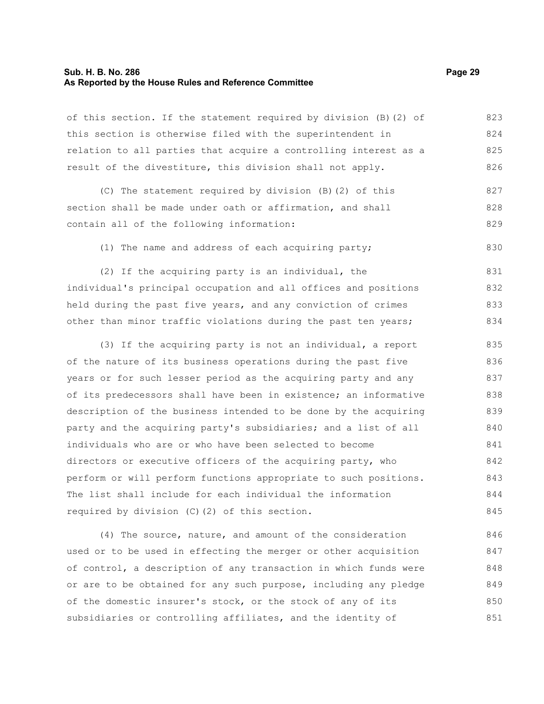#### **Sub. H. B. No. 286 Page 29 As Reported by the House Rules and Reference Committee**

(C) The statement required by division (B)(2) of this section shall be made under oath or affirmation, and shall contain all of the following information: (1) The name and address of each acquiring party; (2) If the acquiring party is an individual, the individual's principal occupation and all offices and positions (3) If the acquiring party is not an individual, a report of the nature of its business operations during the past five years or for such lesser period as the acquiring party and any of its predecessors shall have been in existence; an informative description of the business intended to be done by the acquiring party and the acquiring party's subsidiaries; and a list of all individuals who are or who have been selected to become directors or executive officers of the acquiring party, who perform or will perform functions appropriate to such positions. The list shall include for each individual the information 823 824 825 826 827 828 829 830 831 832 833 834 835 836 837 838 839 840 841 842 843 844

required by division (C)(2) of this section. (4) The source, nature, and amount of the consideration used or to be used in effecting the merger or other acquisition of control, a description of any transaction in which funds were or are to be obtained for any such purpose, including any pledge of the domestic insurer's stock, or the stock of any of its 845 846 847 848 849 850

subsidiaries or controlling affiliates, and the identity of

of this section. If the statement required by division (B)(2) of this section is otherwise filed with the superintendent in relation to all parties that acquire a controlling interest as a result of the divestiture, this division shall not apply.

held during the past five years, and any conviction of crimes other than minor traffic violations during the past ten years;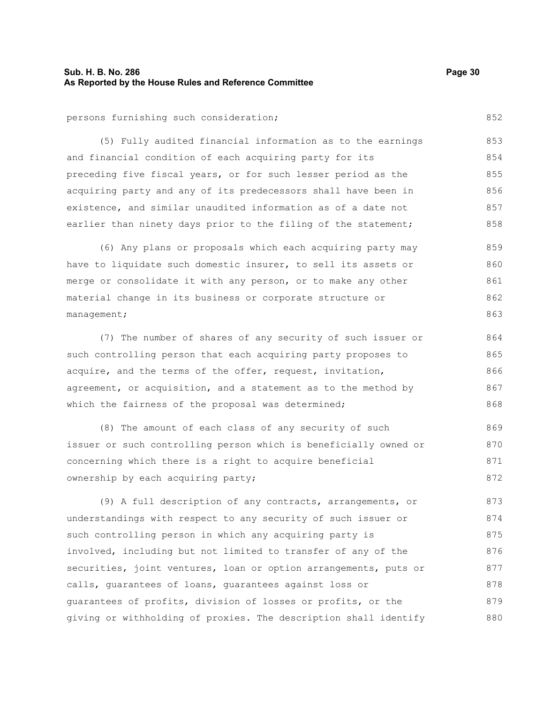#### **Sub. H. B. No. 286 Page 30 As Reported by the House Rules and Reference Committee**

persons furnishing such consideration;

(5) Fully audited financial information as to the earnings and financial condition of each acquiring party for its preceding five fiscal years, or for such lesser period as the acquiring party and any of its predecessors shall have been in existence, and similar unaudited information as of a date not earlier than ninety days prior to the filing of the statement; 853 854 855 856 857 858

(6) Any plans or proposals which each acquiring party may have to liquidate such domestic insurer, to sell its assets or merge or consolidate it with any person, or to make any other material change in its business or corporate structure or management; 859 860 861 862 863

(7) The number of shares of any security of such issuer or such controlling person that each acquiring party proposes to acquire, and the terms of the offer, request, invitation, agreement, or acquisition, and a statement as to the method by which the fairness of the proposal was determined; 864 865 866 867 868

(8) The amount of each class of any security of such issuer or such controlling person which is beneficially owned or concerning which there is a right to acquire beneficial ownership by each acquiring party; 869 870 871 872

(9) A full description of any contracts, arrangements, or understandings with respect to any security of such issuer or such controlling person in which any acquiring party is involved, including but not limited to transfer of any of the securities, joint ventures, loan or option arrangements, puts or calls, guarantees of loans, guarantees against loss or guarantees of profits, division of losses or profits, or the giving or withholding of proxies. The description shall identify 873 874 875 876 877 878 879 880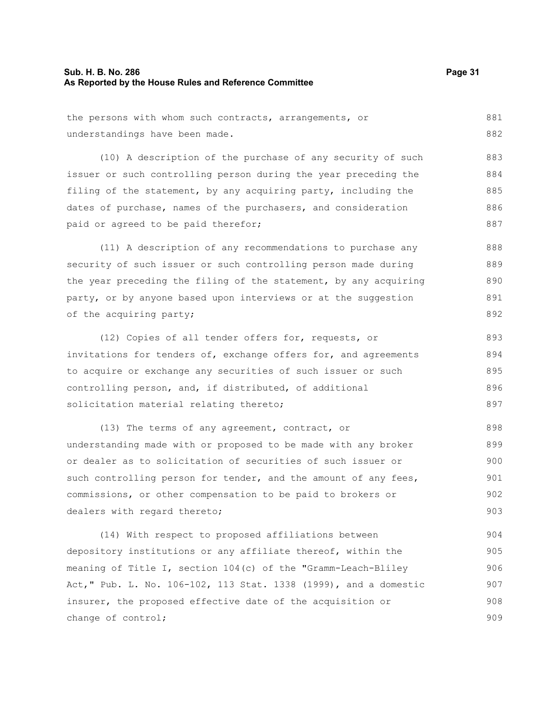#### **Sub. H. B. No. 286 Page 31 As Reported by the House Rules and Reference Committee**

(10) A description of the purchase of any security of such issuer or such controlling person during the year preceding the filing of the statement, by any acquiring party, including the dates of purchase, names of the purchasers, and consideration paid or agreed to be paid therefor; 883 884 885 886 887

(11) A description of any recommendations to purchase any security of such issuer or such controlling person made during the year preceding the filing of the statement, by any acquiring party, or by anyone based upon interviews or at the suggestion of the acquiring party; 888 889 890 891 892

(12) Copies of all tender offers for, requests, or invitations for tenders of, exchange offers for, and agreements to acquire or exchange any securities of such issuer or such controlling person, and, if distributed, of additional solicitation material relating thereto; 893 894 895 896 897

(13) The terms of any agreement, contract, or understanding made with or proposed to be made with any broker or dealer as to solicitation of securities of such issuer or such controlling person for tender, and the amount of any fees, commissions, or other compensation to be paid to brokers or dealers with regard thereto; 898 899 900 901 902 903

(14) With respect to proposed affiliations between depository institutions or any affiliate thereof, within the meaning of Title I, section 104(c) of the "Gramm-Leach-Bliley Act," Pub. L. No. 106-102, 113 Stat. 1338 (1999), and a domestic insurer, the proposed effective date of the acquisition or change of control; 904 905 906 907 908 909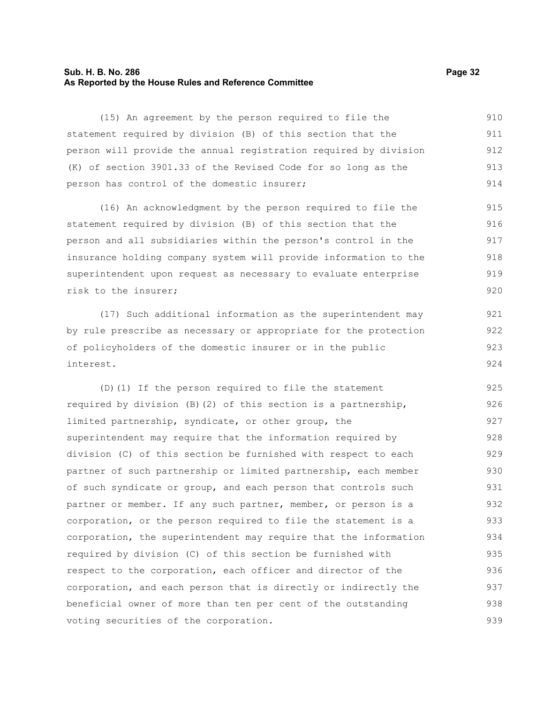#### **Sub. H. B. No. 286 Page 32 As Reported by the House Rules and Reference Committee**

(15) An agreement by the person required to file the statement required by division (B) of this section that the person will provide the annual registration required by division (K) of section 3901.33 of the Revised Code for so long as the person has control of the domestic insurer; 910 911 912 913 914

(16) An acknowledgment by the person required to file the statement required by division (B) of this section that the person and all subsidiaries within the person's control in the insurance holding company system will provide information to the superintendent upon request as necessary to evaluate enterprise risk to the insurer;

(17) Such additional information as the superintendent may by rule prescribe as necessary or appropriate for the protection of policyholders of the domestic insurer or in the public interest.

(D)(1) If the person required to file the statement required by division (B)(2) of this section is a partnership, limited partnership, syndicate, or other group, the superintendent may require that the information required by division (C) of this section be furnished with respect to each partner of such partnership or limited partnership, each member of such syndicate or group, and each person that controls such partner or member. If any such partner, member, or person is a corporation, or the person required to file the statement is a corporation, the superintendent may require that the information required by division (C) of this section be furnished with respect to the corporation, each officer and director of the corporation, and each person that is directly or indirectly the beneficial owner of more than ten per cent of the outstanding voting securities of the corporation. 925 926 927 928 929 930 931 932 933 934 935 936 937 938 939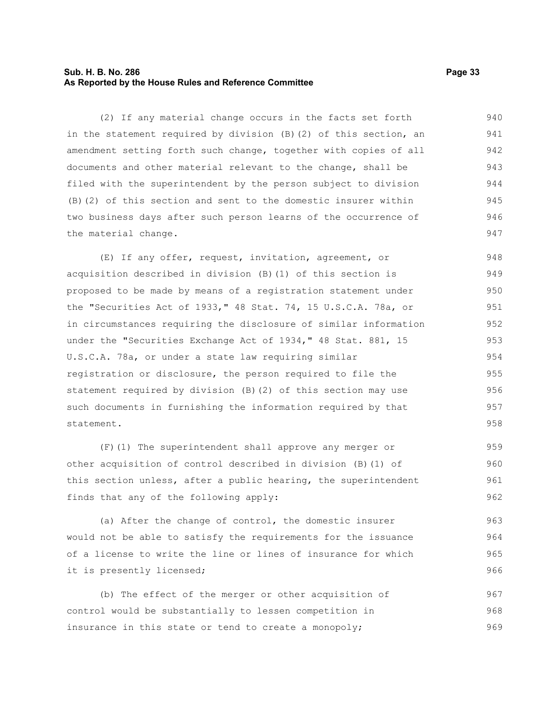#### **Sub. H. B. No. 286 Page 33 As Reported by the House Rules and Reference Committee**

(2) If any material change occurs in the facts set forth in the statement required by division (B)(2) of this section, an amendment setting forth such change, together with copies of all documents and other material relevant to the change, shall be filed with the superintendent by the person subject to division (B)(2) of this section and sent to the domestic insurer within two business days after such person learns of the occurrence of the material change. 940 941 942 943 944 945 946 947

(E) If any offer, request, invitation, agreement, or acquisition described in division (B)(1) of this section is proposed to be made by means of a registration statement under the "Securities Act of 1933," 48 Stat. 74, 15 U.S.C.A. 78a, or in circumstances requiring the disclosure of similar information under the "Securities Exchange Act of 1934," 48 Stat. 881, 15 U.S.C.A. 78a, or under a state law requiring similar registration or disclosure, the person required to file the statement required by division (B)(2) of this section may use such documents in furnishing the information required by that statement. 948 949 950 951 952 953 954 955 956 957 958

(F)(1) The superintendent shall approve any merger or other acquisition of control described in division (B)(1) of this section unless, after a public hearing, the superintendent finds that any of the following apply: 959 960 961 962

(a) After the change of control, the domestic insurer would not be able to satisfy the requirements for the issuance of a license to write the line or lines of insurance for which it is presently licensed; 963 964 965 966

(b) The effect of the merger or other acquisition of control would be substantially to lessen competition in insurance in this state or tend to create a monopoly; 967 968 969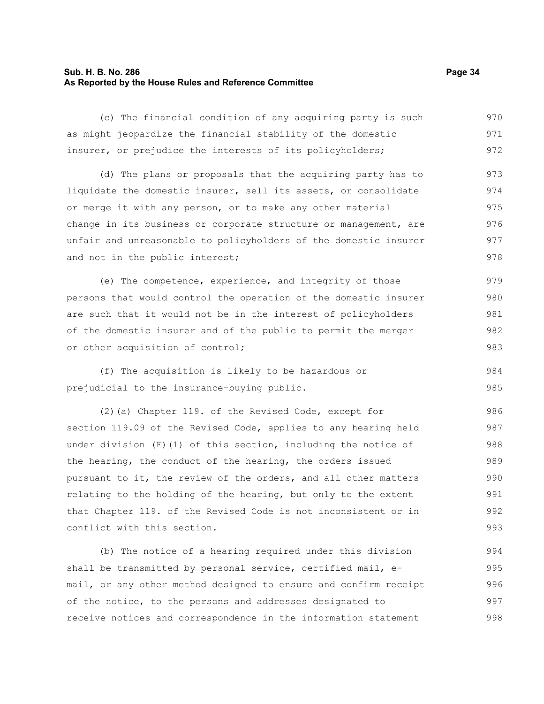#### **Sub. H. B. No. 286 Page 34 As Reported by the House Rules and Reference Committee**

(c) The financial condition of any acquiring party is such as might jeopardize the financial stability of the domestic insurer, or prejudice the interests of its policyholders; 970 971 972

(d) The plans or proposals that the acquiring party has to liquidate the domestic insurer, sell its assets, or consolidate or merge it with any person, or to make any other material change in its business or corporate structure or management, are unfair and unreasonable to policyholders of the domestic insurer and not in the public interest; 973 974 975 976 977 978

(e) The competence, experience, and integrity of those persons that would control the operation of the domestic insurer are such that it would not be in the interest of policyholders of the domestic insurer and of the public to permit the merger or other acquisition of control; 979 980 981 982 983

(f) The acquisition is likely to be hazardous or prejudicial to the insurance-buying public. 984 985

(2)(a) Chapter 119. of the Revised Code, except for section 119.09 of the Revised Code, applies to any hearing held under division  $(F)(1)$  of this section, including the notice of the hearing, the conduct of the hearing, the orders issued pursuant to it, the review of the orders, and all other matters relating to the holding of the hearing, but only to the extent that Chapter 119. of the Revised Code is not inconsistent or in conflict with this section. 986 987 988 989 990 991 992 993

(b) The notice of a hearing required under this division shall be transmitted by personal service, certified mail, email, or any other method designed to ensure and confirm receipt of the notice, to the persons and addresses designated to receive notices and correspondence in the information statement 994 995 996 997 998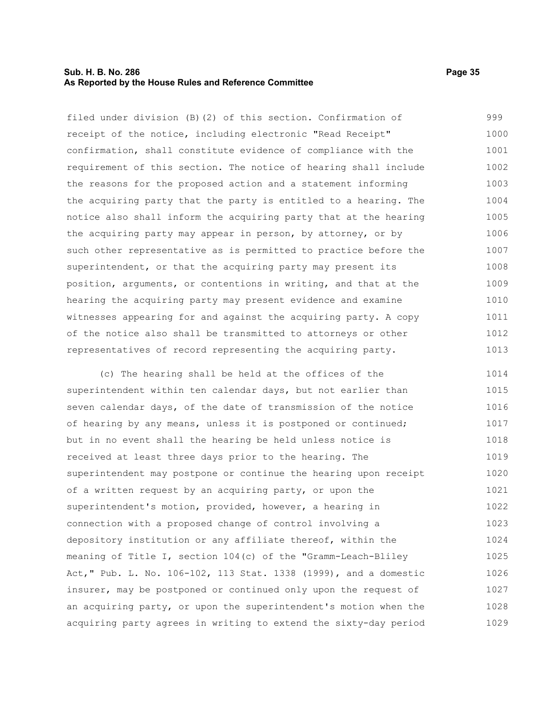#### **Sub. H. B. No. 286 Page 35 As Reported by the House Rules and Reference Committee**

filed under division (B)(2) of this section. Confirmation of receipt of the notice, including electronic "Read Receipt" confirmation, shall constitute evidence of compliance with the requirement of this section. The notice of hearing shall include the reasons for the proposed action and a statement informing the acquiring party that the party is entitled to a hearing. The notice also shall inform the acquiring party that at the hearing the acquiring party may appear in person, by attorney, or by such other representative as is permitted to practice before the superintendent, or that the acquiring party may present its position, arguments, or contentions in writing, and that at the hearing the acquiring party may present evidence and examine witnesses appearing for and against the acquiring party. A copy of the notice also shall be transmitted to attorneys or other representatives of record representing the acquiring party. 999 1000 1001 1002 1003 1004 1005 1006 1007 1008 1009 1010 1011 1012 1013

(c) The hearing shall be held at the offices of the superintendent within ten calendar days, but not earlier than seven calendar days, of the date of transmission of the notice of hearing by any means, unless it is postponed or continued; but in no event shall the hearing be held unless notice is received at least three days prior to the hearing. The superintendent may postpone or continue the hearing upon receipt of a written request by an acquiring party, or upon the superintendent's motion, provided, however, a hearing in connection with a proposed change of control involving a depository institution or any affiliate thereof, within the meaning of Title I, section 104(c) of the "Gramm-Leach-Bliley Act," Pub. L. No. 106-102, 113 Stat. 1338 (1999), and a domestic insurer, may be postponed or continued only upon the request of an acquiring party, or upon the superintendent's motion when the acquiring party agrees in writing to extend the sixty-day period 1014 1015 1016 1017 1018 1019 1020 1021 1022 1023 1024 1025 1026 1027 1028 1029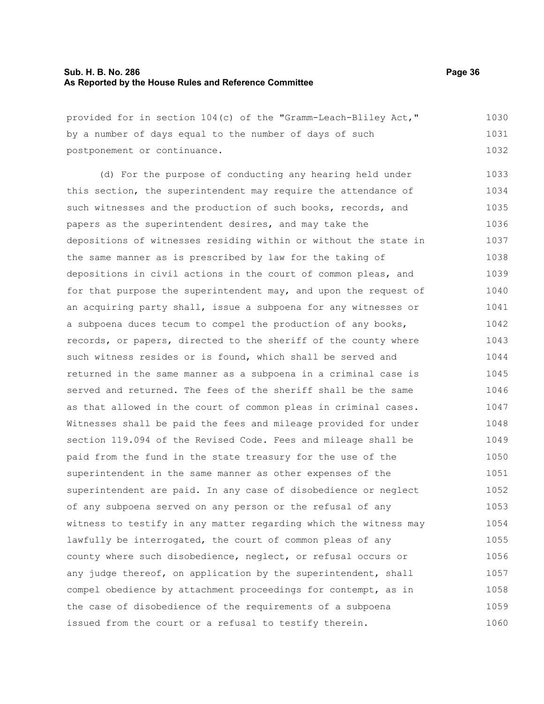## **Sub. H. B. No. 286 Page 36 As Reported by the House Rules and Reference Committee**

provided for in section 104(c) of the "Gramm-Leach-Bliley Act,"

| by a number of days equal to the number of days of such          | 1031 |
|------------------------------------------------------------------|------|
| postponement or continuance.                                     | 1032 |
| (d) For the purpose of conducting any hearing held under         | 1033 |
| this section, the superintendent may require the attendance of   | 1034 |
| such witnesses and the production of such books, records, and    | 1035 |
| papers as the superintendent desires, and may take the           | 1036 |
| depositions of witnesses residing within or without the state in | 1037 |
| the same manner as is prescribed by law for the taking of        | 1038 |
| depositions in civil actions in the court of common pleas, and   | 1039 |
| for that purpose the superintendent may, and upon the request of | 1040 |
| an acquiring party shall, issue a subpoena for any witnesses or  | 1041 |
| a subpoena duces tecum to compel the production of any books,    | 1042 |
| records, or papers, directed to the sheriff of the county where  | 1043 |
| such witness resides or is found, which shall be served and      | 1044 |
| returned in the same manner as a subpoena in a criminal case is  | 1045 |
| served and returned. The fees of the sheriff shall be the same   | 1046 |
| as that allowed in the court of common pleas in criminal cases.  | 1047 |
| Witnesses shall be paid the fees and mileage provided for under  | 1048 |
| section 119.094 of the Revised Code. Fees and mileage shall be   | 1049 |
| paid from the fund in the state treasury for the use of the      | 1050 |
| superintendent in the same manner as other expenses of the       | 1051 |
| superintendent are paid. In any case of disobedience or neglect  | 1052 |
| of any subpoena served on any person or the refusal of any       | 1053 |
| witness to testify in any matter regarding which the witness may | 1054 |
| lawfully be interrogated, the court of common pleas of any       | 1055 |
| county where such disobedience, neglect, or refusal occurs or    | 1056 |
| any judge thereof, on application by the superintendent, shall   | 1057 |
| compel obedience by attachment proceedings for contempt, as in   | 1058 |
| the case of disobedience of the requirements of a subpoena       | 1059 |
| issued from the court or a refusal to testify therein.           | 1060 |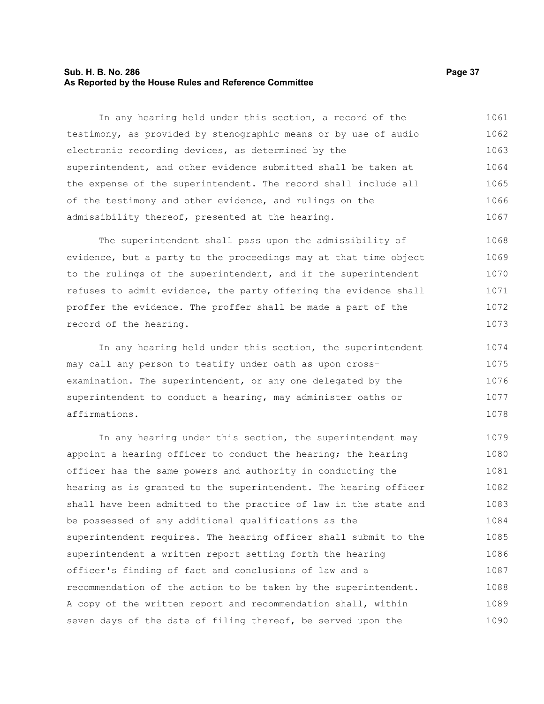#### **Sub. H. B. No. 286 Page 37 As Reported by the House Rules and Reference Committee**

In any hearing held under this section, a record of the testimony, as provided by stenographic means or by use of audio electronic recording devices, as determined by the superintendent, and other evidence submitted shall be taken at the expense of the superintendent. The record shall include all of the testimony and other evidence, and rulings on the admissibility thereof, presented at the hearing. 1061 1062 1063 1064 1065 1066 1067

The superintendent shall pass upon the admissibility of evidence, but a party to the proceedings may at that time object to the rulings of the superintendent, and if the superintendent refuses to admit evidence, the party offering the evidence shall proffer the evidence. The proffer shall be made a part of the record of the hearing. 1068 1069 1070 1071 1072 1073

In any hearing held under this section, the superintendent may call any person to testify under oath as upon crossexamination. The superintendent, or any one delegated by the superintendent to conduct a hearing, may administer oaths or affirmations. 1074 1075 1076 1077 1078

In any hearing under this section, the superintendent may appoint a hearing officer to conduct the hearing; the hearing officer has the same powers and authority in conducting the hearing as is granted to the superintendent. The hearing officer shall have been admitted to the practice of law in the state and be possessed of any additional qualifications as the superintendent requires. The hearing officer shall submit to the superintendent a written report setting forth the hearing officer's finding of fact and conclusions of law and a recommendation of the action to be taken by the superintendent. A copy of the written report and recommendation shall, within seven days of the date of filing thereof, be served upon the 1079 1080 1081 1082 1083 1084 1085 1086 1087 1088 1089 1090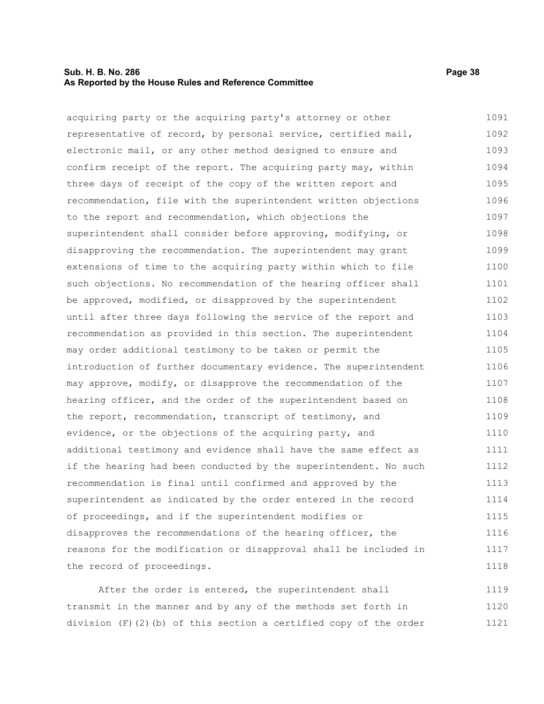#### **Sub. H. B. No. 286 Page 38 As Reported by the House Rules and Reference Committee**

acquiring party or the acquiring party's attorney or other representative of record, by personal service, certified mail, electronic mail, or any other method designed to ensure and confirm receipt of the report. The acquiring party may, within three days of receipt of the copy of the written report and recommendation, file with the superintendent written objections to the report and recommendation, which objections the superintendent shall consider before approving, modifying, or disapproving the recommendation. The superintendent may grant extensions of time to the acquiring party within which to file such objections. No recommendation of the hearing officer shall be approved, modified, or disapproved by the superintendent until after three days following the service of the report and recommendation as provided in this section. The superintendent may order additional testimony to be taken or permit the introduction of further documentary evidence. The superintendent may approve, modify, or disapprove the recommendation of the hearing officer, and the order of the superintendent based on the report, recommendation, transcript of testimony, and evidence, or the objections of the acquiring party, and additional testimony and evidence shall have the same effect as if the hearing had been conducted by the superintendent. No such recommendation is final until confirmed and approved by the superintendent as indicated by the order entered in the record of proceedings, and if the superintendent modifies or disapproves the recommendations of the hearing officer, the 1091 1092 1093 1094 1095 1096 1097 1098 1099 1100 1101 1102 1103 1104 1105 1106 1107 1108 1109 1110 1111 1112 1113 1114 1115 1116

After the order is entered, the superintendent shall transmit in the manner and by any of the methods set forth in division (F)(2)(b) of this section a certified copy of the order 1119 1120 1121

reasons for the modification or disapproval shall be included in

the record of proceedings.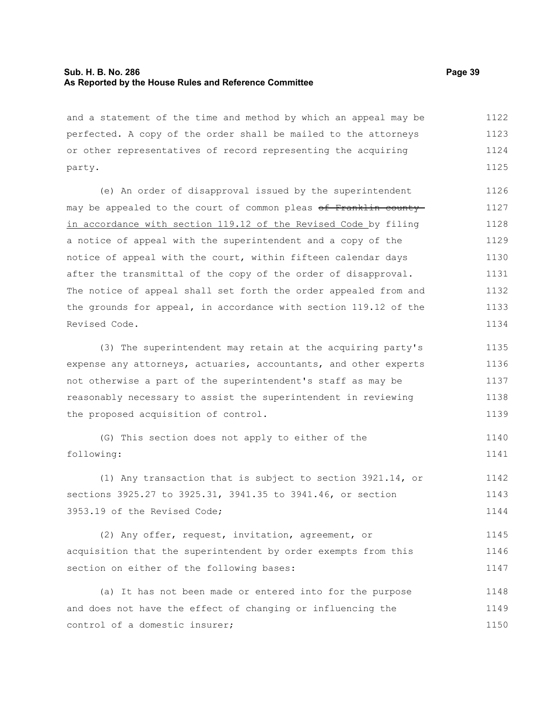#### **Sub. H. B. No. 286 Page 39 As Reported by the House Rules and Reference Committee**

and a statement of the time and method by which an appeal may be perfected. A copy of the order shall be mailed to the attorneys or other representatives of record representing the acquiring party. 1122 1123 1124 1125

(e) An order of disapproval issued by the superintendent may be appealed to the court of common pleas of Franklin county in accordance with section 119.12 of the Revised Code by filing a notice of appeal with the superintendent and a copy of the notice of appeal with the court, within fifteen calendar days after the transmittal of the copy of the order of disapproval. The notice of appeal shall set forth the order appealed from and the grounds for appeal, in accordance with section 119.12 of the Revised Code. 1126 1127 1128 1129 1130 1131 1132 1133 1134

(3) The superintendent may retain at the acquiring party's expense any attorneys, actuaries, accountants, and other experts not otherwise a part of the superintendent's staff as may be reasonably necessary to assist the superintendent in reviewing the proposed acquisition of control. 1135 1136 1137 1138 1139

(G) This section does not apply to either of the following: 1140 1141

(1) Any transaction that is subject to section 3921.14, or sections 3925.27 to 3925.31, 3941.35 to 3941.46, or section 3953.19 of the Revised Code; 1142 1143 1144

(2) Any offer, request, invitation, agreement, or acquisition that the superintendent by order exempts from this section on either of the following bases: 1145 1146 1147

(a) It has not been made or entered into for the purpose and does not have the effect of changing or influencing the control of a domestic insurer; 1148 1149 1150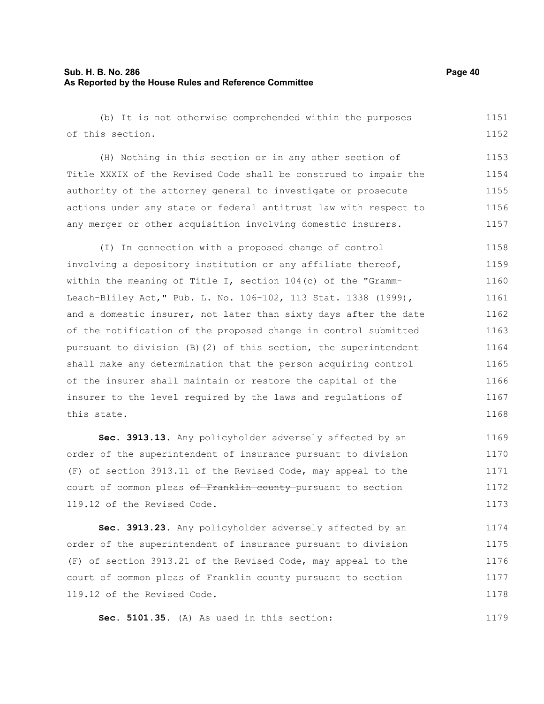#### **Sub. H. B. No. 286 Page 40 As Reported by the House Rules and Reference Committee**

1177 1178

(b) It is not otherwise comprehended within the purposes of this section. (H) Nothing in this section or in any other section of Title XXXIX of the Revised Code shall be construed to impair the authority of the attorney general to investigate or prosecute actions under any state or federal antitrust law with respect to any merger or other acquisition involving domestic insurers. (I) In connection with a proposed change of control involving a depository institution or any affiliate thereof, within the meaning of Title I, section 104(c) of the "Gramm-Leach-Bliley Act," Pub. L. No. 106-102, 113 Stat. 1338 (1999), and a domestic insurer, not later than sixty days after the date of the notification of the proposed change in control submitted pursuant to division (B)(2) of this section, the superintendent shall make any determination that the person acquiring control of the insurer shall maintain or restore the capital of the insurer to the level required by the laws and regulations of this state. **Sec. 3913.13.** Any policyholder adversely affected by an order of the superintendent of insurance pursuant to division (F) of section 3913.11 of the Revised Code, may appeal to the court of common pleas of Franklin county pursuant to section 119.12 of the Revised Code. **Sec. 3913.23.** Any policyholder adversely affected by an order of the superintendent of insurance pursuant to division (F) of section 3913.21 of the Revised Code, may appeal to the 1151 1152 1153 1154 1155 1156 1157 1158 1159 1160 1161 1162 1163 1164 1165 1166 1167 1168 1169 1170 1171 1172 1173 1174 1175 1176

**Sec. 5101.35.** (A) As used in this section: 1179

court of common pleas of Franklin county pursuant to section

119.12 of the Revised Code.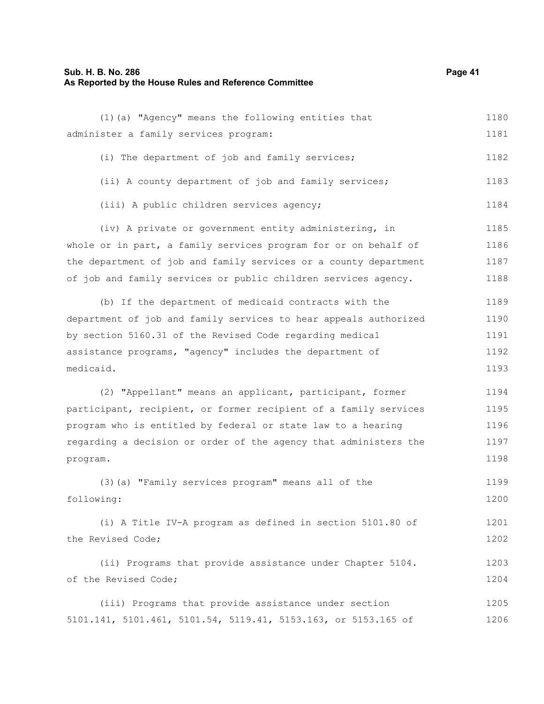## **Sub. H. B. No. 286** Page 41 **As Reported by the House Rules and Reference Committee**

| (1) (a) "Agency" means the following entities that               | 1180 |
|------------------------------------------------------------------|------|
| administer a family services program:                            | 1181 |
| (i) The department of job and family services;                   | 1182 |
| (ii) A county department of job and family services;             | 1183 |
| (iii) A public children services agency;                         | 1184 |
| (iv) A private or government entity administering, in            | 1185 |
| whole or in part, a family services program for or on behalf of  | 1186 |
| the department of job and family services or a county department | 1187 |
| of job and family services or public children services agency.   | 1188 |
| (b) If the department of medicaid contracts with the             | 1189 |
| department of job and family services to hear appeals authorized | 1190 |
| by section 5160.31 of the Revised Code regarding medical         | 1191 |
| assistance programs, "agency" includes the department of         | 1192 |
| medicaid.                                                        | 1193 |
| (2) "Appellant" means an applicant, participant, former          | 1194 |
| participant, recipient, or former recipient of a family services | 1195 |
| program who is entitled by federal or state law to a hearing     | 1196 |
| regarding a decision or order of the agency that administers the | 1197 |
| program.                                                         | 1198 |
| (3) (a) "Family services program" means all of the               | 1199 |
| following:                                                       | 1200 |
| (i) A Title IV-A program as defined in section 5101.80 of        | 1201 |
| the Revised Code;                                                | 1202 |
| (ii) Programs that provide assistance under Chapter 5104.        | 1203 |
| of the Revised Code;                                             | 1204 |
| (iii) Programs that provide assistance under section             | 1205 |
| 5101.141, 5101.461, 5101.54, 5119.41, 5153.163, or 5153.165 of   | 1206 |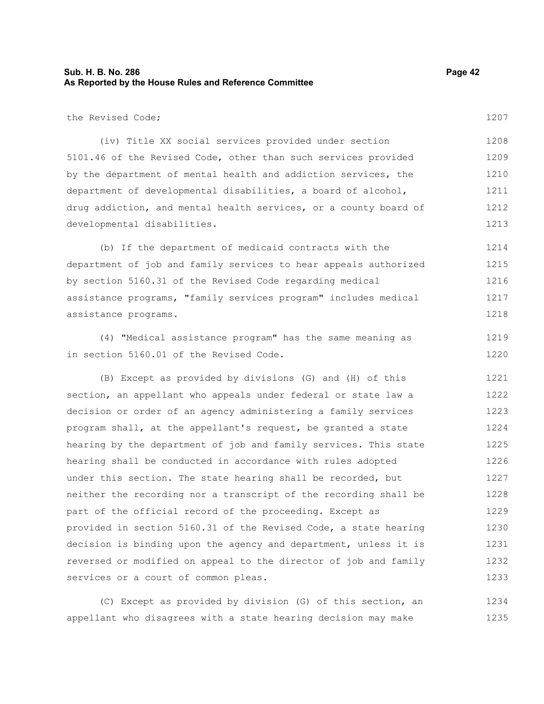#### **Sub. H. B. No. 286 Page 42 As Reported by the House Rules and Reference Committee**

1207

the Revised Code;

(iv) Title XX social services provided under section 5101.46 of the Revised Code, other than such services provided by the department of mental health and addiction services, the department of developmental disabilities, a board of alcohol, drug addiction, and mental health services, or a county board of developmental disabilities. 1208 1209 1210 1211 1212 1213

(b) If the department of medicaid contracts with the department of job and family services to hear appeals authorized by section 5160.31 of the Revised Code regarding medical assistance programs, "family services program" includes medical assistance programs. 1214 1215 1216 1217 1218

(4) "Medical assistance program" has the same meaning as in section 5160.01 of the Revised Code. 1219 1220

(B) Except as provided by divisions (G) and (H) of this section, an appellant who appeals under federal or state law a decision or order of an agency administering a family services program shall, at the appellant's request, be granted a state hearing by the department of job and family services. This state hearing shall be conducted in accordance with rules adopted under this section. The state hearing shall be recorded, but neither the recording nor a transcript of the recording shall be part of the official record of the proceeding. Except as provided in section 5160.31 of the Revised Code, a state hearing decision is binding upon the agency and department, unless it is reversed or modified on appeal to the director of job and family services or a court of common pleas. 1221 1222 1223 1224 1225 1226 1227 1228 1229 1230 1231 1232 1233

(C) Except as provided by division (G) of this section, an appellant who disagrees with a state hearing decision may make 1234 1235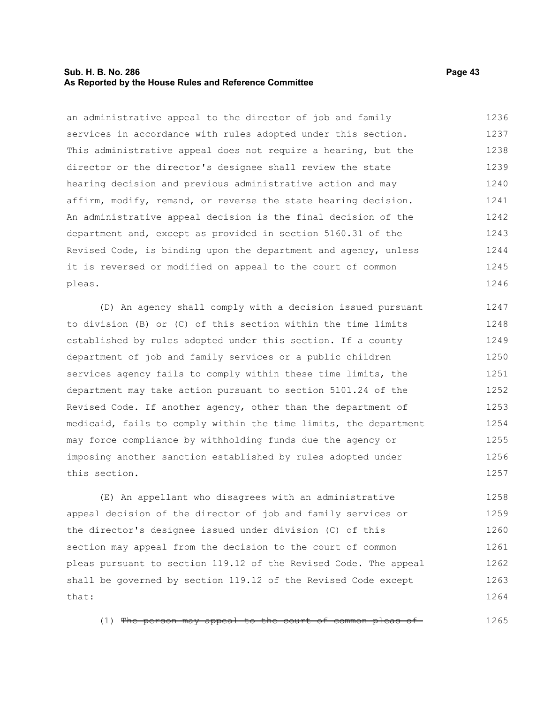#### **Sub. H. B. No. 286 Page 43 As Reported by the House Rules and Reference Committee**

an administrative appeal to the director of job and family services in accordance with rules adopted under this section. This administrative appeal does not require a hearing, but the director or the director's designee shall review the state hearing decision and previous administrative action and may affirm, modify, remand, or reverse the state hearing decision. An administrative appeal decision is the final decision of the department and, except as provided in section 5160.31 of the Revised Code, is binding upon the department and agency, unless it is reversed or modified on appeal to the court of common pleas. 1236 1237 1238 1239 1240 1241 1242 1243 1244 1245 1246

(D) An agency shall comply with a decision issued pursuant to division (B) or (C) of this section within the time limits established by rules adopted under this section. If a county department of job and family services or a public children services agency fails to comply within these time limits, the department may take action pursuant to section 5101.24 of the Revised Code. If another agency, other than the department of medicaid, fails to comply within the time limits, the department may force compliance by withholding funds due the agency or imposing another sanction established by rules adopted under this section. 1247 1248 1249 1250 1251 1252 1253 1254 1255 1256 1257

(E) An appellant who disagrees with an administrative appeal decision of the director of job and family services or the director's designee issued under division (C) of this section may appeal from the decision to the court of common pleas pursuant to section 119.12 of the Revised Code. The appeal shall be governed by section 119.12 of the Revised Code except that: 1258 1259 1260 1261 1262 1263 1264

(1) The person may appeal to the court of common pleas of 1265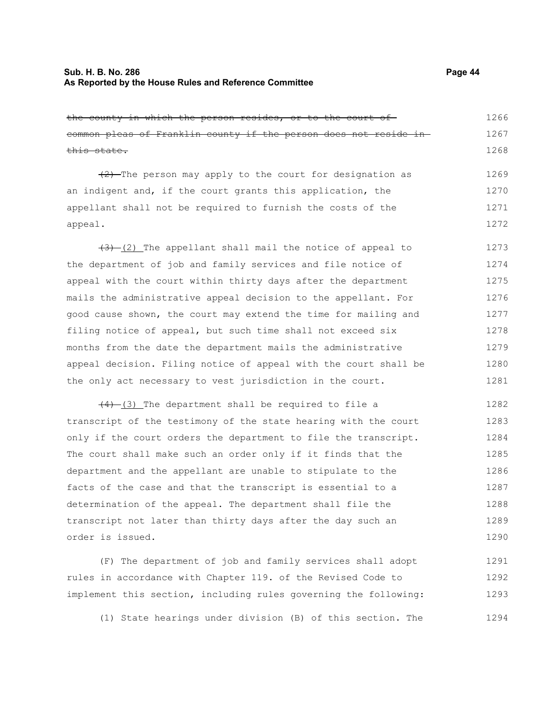#### **Sub. H. B. No. 286 Page 44 As Reported by the House Rules and Reference Committee**

the county in which the person resides, or to the court ofcommon pleas of Franklin county if the person does not reside in this state. 1266 1267 1268

 $(2)$ -The person may apply to the court for designation as an indigent and, if the court grants this application, the appellant shall not be required to furnish the costs of the appeal. 1269 1270 1271 1272

 $(3)$   $(2)$  The appellant shall mail the notice of appeal to the department of job and family services and file notice of appeal with the court within thirty days after the department mails the administrative appeal decision to the appellant. For good cause shown, the court may extend the time for mailing and filing notice of appeal, but such time shall not exceed six months from the date the department mails the administrative appeal decision. Filing notice of appeal with the court shall be the only act necessary to vest jurisdiction in the court. 1273 1274 1275 1276 1277 1278 1279 1280 1281

 $(4)$   $(3)$  The department shall be required to file a transcript of the testimony of the state hearing with the court only if the court orders the department to file the transcript. The court shall make such an order only if it finds that the department and the appellant are unable to stipulate to the facts of the case and that the transcript is essential to a determination of the appeal. The department shall file the transcript not later than thirty days after the day such an order is issued. 1282 1283 1284 1285 1286 1287 1288 1289 1290

(F) The department of job and family services shall adopt rules in accordance with Chapter 119. of the Revised Code to implement this section, including rules governing the following: 1291 1292 1293

(1) State hearings under division (B) of this section. The 1294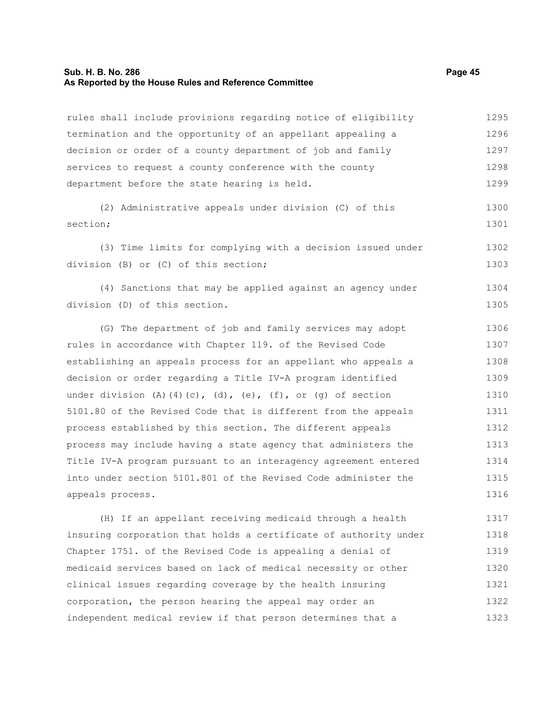#### **Sub. H. B. No. 286 Page 45 As Reported by the House Rules and Reference Committee**

rules shall include provisions regarding notice of eligibility termination and the opportunity of an appellant appealing a decision or order of a county department of job and family services to request a county conference with the county department before the state hearing is held. 1295 1296 1297 1298 1299

(2) Administrative appeals under division (C) of this section;

(3) Time limits for complying with a decision issued under division (B) or (C) of this section; 1302 1303

(4) Sanctions that may be applied against an agency under division (D) of this section. 1304 1305

(G) The department of job and family services may adopt rules in accordance with Chapter 119. of the Revised Code establishing an appeals process for an appellant who appeals a decision or order regarding a Title IV-A program identified under division  $(A)$   $(4)$   $(c)$ ,  $(d)$ ,  $(e)$ ,  $(f)$ , or  $(q)$  of section 5101.80 of the Revised Code that is different from the appeals process established by this section. The different appeals process may include having a state agency that administers the Title IV-A program pursuant to an interagency agreement entered into under section 5101.801 of the Revised Code administer the appeals process. 1306 1307 1308 1309 1310 1311 1312 1313 1314 1315 1316

(H) If an appellant receiving medicaid through a health insuring corporation that holds a certificate of authority under Chapter 1751. of the Revised Code is appealing a denial of medicaid services based on lack of medical necessity or other clinical issues regarding coverage by the health insuring corporation, the person hearing the appeal may order an independent medical review if that person determines that a 1317 1318 1319 1320 1321 1322 1323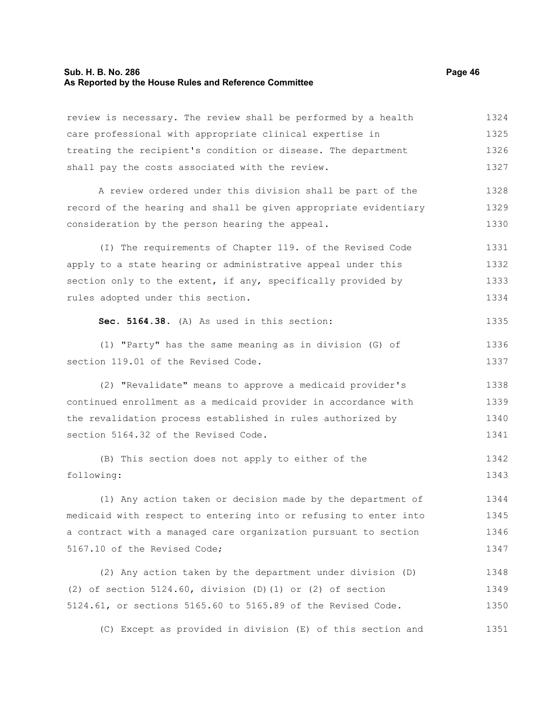#### **Sub. H. B. No. 286 Page 46 As Reported by the House Rules and Reference Committee**

review is necessary. The review shall be performed by a health care professional with appropriate clinical expertise in treating the recipient's condition or disease. The department shall pay the costs associated with the review. A review ordered under this division shall be part of the record of the hearing and shall be given appropriate evidentiary consideration by the person hearing the appeal. (I) The requirements of Chapter 119. of the Revised Code apply to a state hearing or administrative appeal under this section only to the extent, if any, specifically provided by rules adopted under this section. **Sec. 5164.38.** (A) As used in this section: (1) "Party" has the same meaning as in division (G) of section 119.01 of the Revised Code. (2) "Revalidate" means to approve a medicaid provider's continued enrollment as a medicaid provider in accordance with the revalidation process established in rules authorized by section 5164.32 of the Revised Code. (B) This section does not apply to either of the following: (1) Any action taken or decision made by the department of medicaid with respect to entering into or refusing to enter into a contract with a managed care organization pursuant to section 5167.10 of the Revised Code; (2) Any action taken by the department under division (D) (2) of section  $5124.60$ , division (D)(1) or (2) of section 5124.61, or sections 5165.60 to 5165.89 of the Revised Code. (C) Except as provided in division (E) of this section and 1324 1325 1326 1327 1328 1329 1330 1331 1332 1333 1334 1335 1336 1337 1338 1339 1340 1341 1342 1343 1344 1345 1346 1347 1348 1349 1350 1351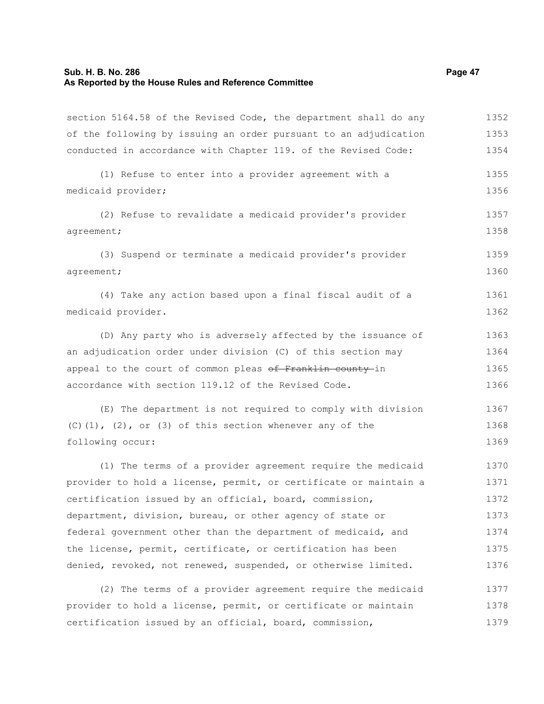#### **Sub. H. B. No. 286 Page 47 As Reported by the House Rules and Reference Committee**

section 5164.58 of the Revised Code, the department shall do any of the following by issuing an order pursuant to an adjudication conducted in accordance with Chapter 119. of the Revised Code: (1) Refuse to enter into a provider agreement with a medicaid provider; 1352 1353 1354 1355 1356

(2) Refuse to revalidate a medicaid provider's provider agreement; 1357 1358

(3) Suspend or terminate a medicaid provider's provider agreement; 1359 1360

(4) Take any action based upon a final fiscal audit of a medicaid provider. 1361 1362

(D) Any party who is adversely affected by the issuance of an adjudication order under division (C) of this section may appeal to the court of common pleas of Franklin county-in accordance with section 119.12 of the Revised Code. 1363 1364 1365 1366

(E) The department is not required to comply with division  $(C)$ (1), (2), or (3) of this section whenever any of the following occur: 1367 1368 1369

(1) The terms of a provider agreement require the medicaid provider to hold a license, permit, or certificate or maintain a certification issued by an official, board, commission, department, division, bureau, or other agency of state or federal government other than the department of medicaid, and the license, permit, certificate, or certification has been denied, revoked, not renewed, suspended, or otherwise limited. 1370 1371 1372 1373 1374 1375 1376

(2) The terms of a provider agreement require the medicaid provider to hold a license, permit, or certificate or maintain certification issued by an official, board, commission, 1377 1378 1379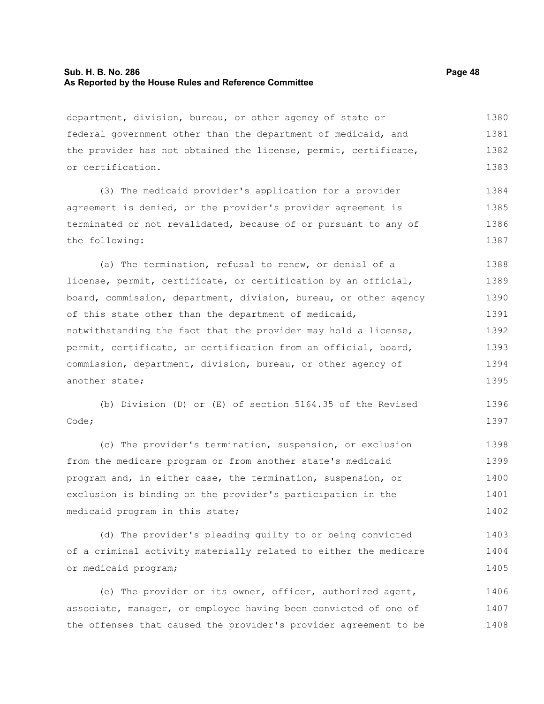#### **Sub. H. B. No. 286 Page 48 As Reported by the House Rules and Reference Committee**

department, division, bureau, or other agency of state or federal government other than the department of medicaid, and the provider has not obtained the license, permit, certificate, or certification. 1380 1381 1382 1383

(3) The medicaid provider's application for a provider agreement is denied, or the provider's provider agreement is terminated or not revalidated, because of or pursuant to any of the following: 1384 1385 1386 1387

(a) The termination, refusal to renew, or denial of a license, permit, certificate, or certification by an official, board, commission, department, division, bureau, or other agency of this state other than the department of medicaid, notwithstanding the fact that the provider may hold a license, permit, certificate, or certification from an official, board, commission, department, division, bureau, or other agency of another state; 1388 1389 1390 1391 1392 1393 1394 1395

(b) Division (D) or (E) of section 5164.35 of the Revised Code; 1396 1397

(c) The provider's termination, suspension, or exclusion from the medicare program or from another state's medicaid program and, in either case, the termination, suspension, or exclusion is binding on the provider's participation in the medicaid program in this state; 1398 1399 1400 1401 1402

(d) The provider's pleading guilty to or being convicted of a criminal activity materially related to either the medicare or medicaid program; 1403 1404 1405

(e) The provider or its owner, officer, authorized agent, associate, manager, or employee having been convicted of one of the offenses that caused the provider's provider agreement to be 1406 1407 1408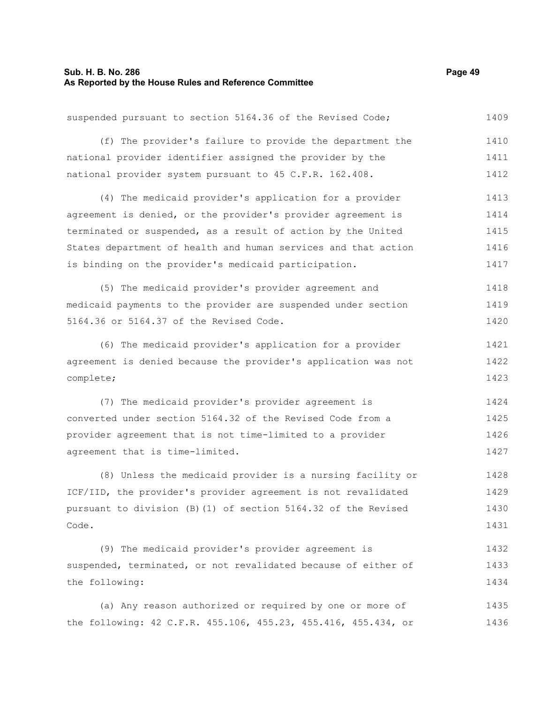| suspended pursuant to section 5164.36 of the Revised Code;     | 1409 |
|----------------------------------------------------------------|------|
| (f) The provider's failure to provide the department the       | 1410 |
| national provider identifier assigned the provider by the      | 1411 |
| national provider system pursuant to 45 C.F.R. 162.408.        | 1412 |
| (4) The medicaid provider's application for a provider         | 1413 |
| agreement is denied, or the provider's provider agreement is   | 1414 |
| terminated or suspended, as a result of action by the United   | 1415 |
| States department of health and human services and that action | 1416 |
| is binding on the provider's medicaid participation.           | 1417 |
| (5) The medicaid provider's provider agreement and             | 1418 |
| medicaid payments to the provider are suspended under section  | 1419 |
| 5164.36 or 5164.37 of the Revised Code.                        | 1420 |
| (6) The medicaid provider's application for a provider         | 1421 |
| agreement is denied because the provider's application was not | 1422 |
| complete;                                                      | 1423 |
| (7) The medicaid provider's provider agreement is              | 1424 |
| converted under section 5164.32 of the Revised Code from a     | 1425 |
| provider agreement that is not time-limited to a provider      | 1426 |
| agreement that is time-limited.                                | 1427 |
| (8) Unless the medicaid provider is a nursing facility or      | 1428 |
| ICF/IID, the provider's provider agreement is not revalidated  | 1429 |
| pursuant to division (B)(1) of section 5164.32 of the Revised  | 1430 |
| Code.                                                          | 1431 |
| (9) The medicaid provider's provider agreement is              | 1432 |
| suspended, terminated, or not revalidated because of either of | 1433 |
| the following:                                                 | 1434 |
| (a) Any reason authorized or required by one or more of        | 1435 |
| the following: 42 C.F.R. 455.106, 455.23, 455.416, 455.434, or | 1436 |
|                                                                |      |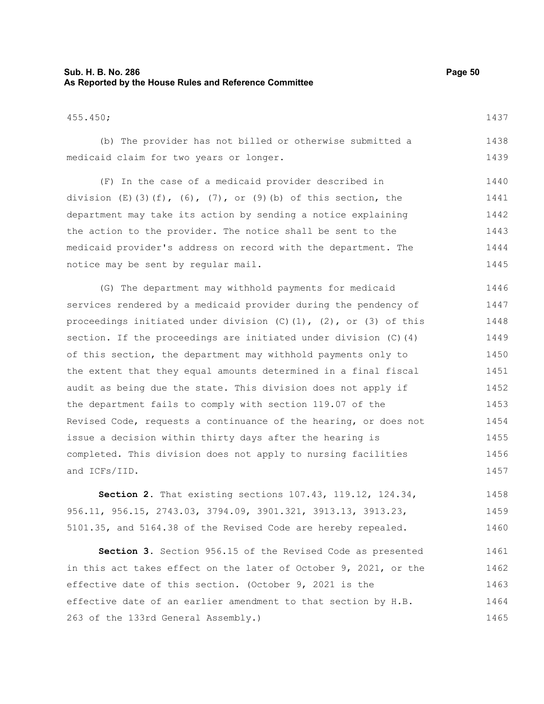#### **Sub. H. B. No. 286 Page 50 As Reported by the House Rules and Reference Committee**

455.450; (b) The provider has not billed or otherwise submitted a medicaid claim for two years or longer. (F) In the case of a medicaid provider described in division  $(E)(3)(f)$ ,  $(6)$ ,  $(7)$ , or  $(9)(b)$  of this section, the 1437 1438 1439 1440 1441

department may take its action by sending a notice explaining the action to the provider. The notice shall be sent to the medicaid provider's address on record with the department. The notice may be sent by regular mail. 1442 1443 1444 1445

(G) The department may withhold payments for medicaid services rendered by a medicaid provider during the pendency of proceedings initiated under division  $(C)$  (1), (2), or (3) of this section. If the proceedings are initiated under division (C)(4) of this section, the department may withhold payments only to the extent that they equal amounts determined in a final fiscal audit as being due the state. This division does not apply if the department fails to comply with section 119.07 of the Revised Code, requests a continuance of the hearing, or does not issue a decision within thirty days after the hearing is completed. This division does not apply to nursing facilities and ICFs/IID. 1446 1447 1448 1449 1450 1451 1452 1453 1454 1455 1456 1457

**Section 2.** That existing sections 107.43, 119.12, 124.34, 956.11, 956.15, 2743.03, 3794.09, 3901.321, 3913.13, 3913.23, 5101.35, and 5164.38 of the Revised Code are hereby repealed. 1458 1459 1460

**Section 3.** Section 956.15 of the Revised Code as presented in this act takes effect on the later of October 9, 2021, or the effective date of this section. (October 9, 2021 is the effective date of an earlier amendment to that section by H.B. 263 of the 133rd General Assembly.) 1461 1462 1463 1464 1465